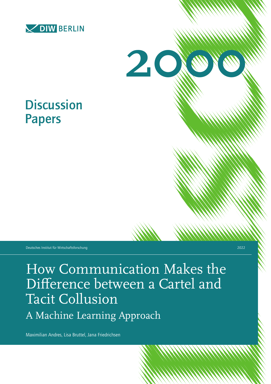



# **Discussion** Papers

Deutsches Institut für Wirtschaftsforschung 2022

How Communication Makes the Difference between a Cartel and Tacit Collusion

A Machine Learning Approach

Maximilian Andres, Lisa Bruttel, Jana Friedrichsen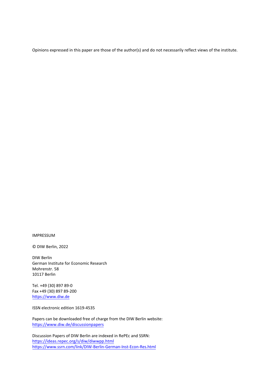Opinions expressed in this paper are those of the author(s) and do not necessarily reflect views of the institute.

IMPRESSUM

© DIW Berlin, 2022

DIW Berlin German Institute for Economic Research Mohrenstr. 58 10117 Berlin

Tel. +49 (30) 897 89-0 Fax +49 (30) 897 89-200 https[://www.diw.de](http://www.diw.de/)

ISSN electronic edition 1619-4535

Papers can be downloaded free of charge from the DIW Berlin website: https[://www.diw.de/discussionpapers](http://www.diw.de/discussionpapers)

Discussion Papers of DIW Berlin are indexed in RePEc and SSRN: https://ideas.repec.org/s/diw/diwwpp.html https[://www.ssrn.com/link/DIW-Berlin-German-Inst-Econ-Res.html](http://www.ssrn.com/link/DIW-Berlin-German-Inst-Econ-Res.html)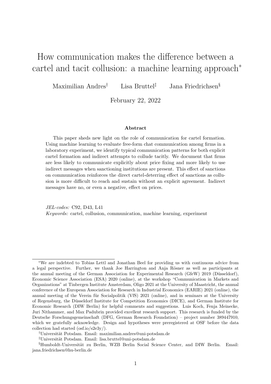# <span id="page-2-0"></span>How communication makes the difference between a cartel and tacit collusion: a machine learning approach<sup>∗</sup>

Maximilian Andres† Lisa Bruttel‡ Jana Friedrichsen§

February 22, 2022

#### Abstract

This paper sheds new light on the role of communication for cartel formation. Using machine learning to evaluate free-form chat communication among firms in a laboratory experiment, we identify typical communication patterns for both explicit cartel formation and indirect attempts to collude tacitly. We document that firms are less likely to communicate explicitly about price fixing and more likely to use indirect messages when sanctioning institutions are present. This effect of sanctions on communication reinforces the direct cartel-deterring effect of sanctions as collusion is more difficult to reach and sustain without an explicit agreement. Indirect messages have no, or even a negative, effect on prices.

JEL-codes: C92, D43, L41 Keywords: cartel, collusion, communication, machine learning, experiment

<sup>∗</sup>We are indebted to Tobias Lettl and Jonathan Beel for providing us with continuous advice from a legal perspective. Further, we thank Joe Harrington and Anja Rösner as well as participants at the annual meeting of the German Association for Experimental Research (GfeW) 2019 (Düsseldorf), Economic Science Association (ESA) 2020 (online), at the workshop "Communication in Markets and Organizations" at Tinbergen Institute Amsterdam, Oligo 2021 at the University of Maastricht, the annual conference of the European Association for Research in Industrial Economics (EARIE) 2021 (online), the annual meeting of the Verein für Socialpolitik (VfS) 2021 (online), and in seminars at the University of Regensburg, the D¨usseldorf Institute for Competition Economics (DICE), and German Institute for Economic Research (DIW Berlin) for helpful comments and suggestions. Luis Koch, Fenja Meinecke, Juri Nithammer, and Max Padubrin provided excellent research support. This research is funded by the Deutsche Forschungsgemeinschaft (DFG, German Research Foundation) – project number 389447910, which we gratefully acknowledge. Design and hypotheses were preregistered at OSF before the data collection had started (osf.io/s2e3y/).

<sup>&</sup>lt;sup>†</sup>Universität Potsdam. Email: maximilian.andres@uni-potsdam.de

<sup>&</sup>lt;sup>‡</sup>Universität Potsdam. Email: lisa.bruttel@uni-potsdam.de

<sup>§</sup>Humboldt-Universität zu Berlin, WZB Berlin Social Science Center, and DIW Berlin. Email: jana.friedrichsen@hu-berlin.de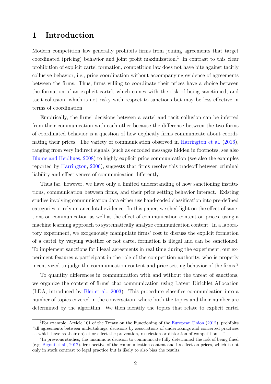### 1 Introduction

Modern competition law generally prohibits firms from joining agreements that target coordinated (pricing) behavior and joint profit maximization.<sup>[1](#page-2-0)</sup> In contrast to this clear prohibition of explicit cartel formation, competition law does not have bite against tacitly collusive behavior, i.e., price coordination without accompanying evidence of agreements between the firms. Thus, firms willing to coordinate their prices have a choice between the formation of an explicit cartel, which comes with the risk of being sanctioned, and tacit collusion, which is not risky with respect to sanctions but may be less effective in terms of coordination.

Empirically, the firms' decisions between a cartel and tacit collusion can be inferred from their communication with each other because the difference between the two forms of coordinated behavior is a question of how explicitly firms communicate about coordinating their prices. The variety of communication observed in [Harrington et al.](#page-30-0) [\(2016\)](#page-30-0), ranging from very indirect signals (such as encoded messages hidden in footnotes, see also [Blume and Heidhues,](#page-28-0) [2008\)](#page-28-0) to highly explicit price communication (see also the examples reported by [Harrington,](#page-30-1) [2006\)](#page-30-1), suggests that firms resolve this tradeoff between criminal liability and effectiveness of communication differently.

Thus far, however, we have only a limited understanding of how sanctioning institutions, communication between firms, and their price setting behavior interact. Existing studies involving communication data either use hand-coded classification into pre-defined categories or rely on anecdotal evidence. In this paper, we shed light on the effect of sanctions on communication as well as the effect of communication content on prices, using a machine learning approach to systematically analyze communication content. In a laboratory experiment, we exogenously manipulate firms' cost to discuss the explicit formation of a cartel by varying whether or not cartel formation is illegal and can be sanctioned. To implement sanctions for illegal agreements in real time during the experiment, our experiment features a participant in the role of the competition authority, who is properly incentivized to judge the communication content and price setting behavior of the firms.<sup>[2](#page-2-0)</sup>

To quantify differences in communication with and without the threat of sanctions, we organize the content of firms' chat communication using Latent Dirichlet Allocation (LDA, introduced by [Blei et al.,](#page-28-1) [2003\)](#page-28-1). This procedure classifies communication into a number of topics covered in the conversation, where both the topics and their number are determined by the algorithm. We then identify the topics that relate to explicit cartel

<sup>&</sup>lt;sup>1</sup>For example, Article 101 of the Treaty on the Functioning of the [European Union](#page-29-0) [\(2012\)](#page-29-0), prohibits "all agreements between undertakings, decisions by associations of undertakings and concerted practices . . . which have as their object or effect the prevention, restriction or distortion of competition. . . "

<sup>&</sup>lt;sup>2</sup>In previous studies, the unanimous decision to communicate fully determined the risk of being fined (e.g. [Bigoni et al.,](#page-28-2) [2012\)](#page-28-2), irrespective of the communication content and its effect on prices, which is not only in stark contrast to legal practice but is likely to also bias the results.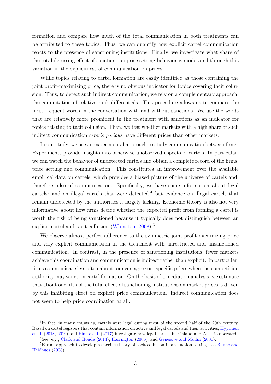formation and compare how much of the total communication in both treatments can be attributed to these topics. Thus, we can quantify how explicit cartel communication reacts to the presence of sanctioning institutions. Finally, we investigate what share of the total deterring effect of sanctions on price setting behavior is moderated through this variation in the explicitness of communication on prices.

While topics relating to cartel formation are easily identified as those containing the joint profit-maximizing price, there is no obvious indicator for topics covering tacit collusion. Thus, to detect such indirect communication, we rely on a complementary approach: the computation of relative rank differentials. This procedure allows us to compare the most frequent words in the conversation with and without sanctions. We use the words that are relatively more prominent in the treatment with sanctions as an indicator for topics relating to tacit collusion. Then, we test whether markets with a high share of such indirect communication *ceteris paribus* have different prices than other markets.

In our study, we use an experimental approach to study communication between firms. Experiments provide insights into otherwise unobserved aspects of cartels. In particular, we can watch the behavior of undetected cartels and obtain a complete record of the firms' price setting and communication. This constitutes an improvement over the available empirical data on cartels, which provides a biased picture of the universe of cartels and, therefore, also of communication. Specifically, we have some information about legal  $cartels<sup>3</sup>$  $cartels<sup>3</sup>$  $cartels<sup>3</sup>$  and on illegal cartels that were detected,<sup>[4](#page-2-0)</sup> but evidence on illegal cartels that remain undetected by the authorities is largely lacking. Economic theory is also not very informative about how firms decide whether the expected profit from forming a cartel is worth the risk of being sanctioned because it typically does not distinguish between an explicit cartel and tacit collusion [\(Whinston,](#page-31-0) [2008\)](#page-31-0).<sup>[5](#page-2-0)</sup>

We observe almost perfect adherence to the symmetric joint profit-maximizing price and very explicit communication in the treatment with unrestricted and unsanctioned communication. In contrast, in the presence of sanctioning institutions, fewer markets achieve this coordination and communication is indirect rather than explicit. In particular, firms communicate less often about, or even agree on, specific prices when the competition authority may sanction cartel formation. On the basis of a mediation analysis, we estimate that about one fifth of the total effect of sanctioning institutions on market prices is driven by this inhibiting effect on explicit price communication. Indirect communication does not seem to help price coordination at all.

<sup>&</sup>lt;sup>3</sup>In fact, in many countries, cartels were legal during most of the second half of the 20th century. Based on cartel registers that contain information on active and legal cartels and their activities, [Hyytinen](#page-30-2) [et al.](#page-30-2) [\(2018,](#page-30-2) [2019\)](#page-30-3) and [Fink et al.](#page-29-1) [\(2017\)](#page-29-1) investigate how legal cartels in Finland and Austria operated. <sup>4</sup>See, e.g., [Clark and Houde](#page-28-3) [\(2014\)](#page-28-3), [Harrington](#page-30-1) [\(2006\)](#page-30-1), and [Genesove and Mullin](#page-29-2) [\(2001\)](#page-29-2).

<sup>&</sup>lt;sup>5</sup>For an approach to develop a specific theory of tacit collusion in an auction setting, see [Blume and](#page-28-0) [Heidhues](#page-28-0) [\(2008\)](#page-28-0).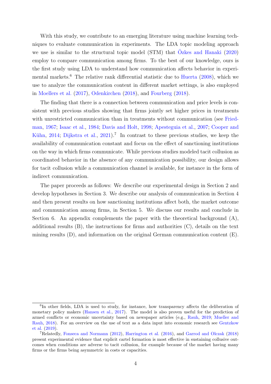With this study, we contribute to an emerging literature using machine learning techniques to evaluate communication in experiments. The LDA topic modeling approach we use is similar to the structural topic model  $(STM)$  that  $Oz$ kes and Hanaki  $(2020)$ employ to compare communication among firms. To the best of our knowledge, ours is the first study using LDA to understand how communication affects behavior in experi-mental markets.<sup>[6](#page-2-0)</sup> The relative rank differential statistic due to [Huerta](#page-30-4)  $(2008)$ , which we use to analyze the communication content in different market settings, is also employed in [Moellers et al.](#page-31-2) [\(2017\)](#page-31-2), [Odenkirchen](#page-31-3) [\(2018\)](#page-31-3), and [Fourberg](#page-29-3) [\(2018\)](#page-29-3).

The finding that there is a connection between communication and price levels is consistent with previous studies showing that firms jointly set higher prices in treatments with unrestricted communication than in treatments without communication (see [Fried](#page-29-4)[man,](#page-29-4) [1967;](#page-29-4) [Isaac et al.,](#page-31-4) [1984;](#page-31-4) [Davis and Holt,](#page-28-4) [1998;](#page-28-4) [Apesteguia et al.,](#page-27-0) [2007;](#page-27-0) [Cooper and](#page-28-5) Kühn, [2014;](#page-28-5) [Dijkstra et al.,](#page-29-5) [2021\)](#page-29-5).<sup>[7](#page-2-0)</sup> In contrast to these previous studies, we keep the availability of communication constant and focus on the effect of sanctioning institutions on the way in which firms communicate. While previous studies modeled tacit collusion as coordinated behavior in the absence of any communication possibility, our design allows for tacit collusion while a communication channel is available, for instance in the form of indirect communication.

The paper proceeds as follows: We describe our experimental design in Section [2](#page-6-0) and develop hypotheses in Section [3.](#page-9-0) We describe our analysis of communication in Section [4](#page-10-0) and then present results on how sanctioning institutions affect both, the market outcome and communication among firms, in Section [5.](#page-14-0) We discuss our results and conclude in Section [6.](#page-25-0) An appendix complements the paper with the theoretical background  $(A)$ , additional results [\(B\)](#page-39-0), the instructions for firms and authorities [\(C\)](#page-40-0), details on the text mining results [\(D\)](#page-53-0), and information on the original German communication content [\(E\)](#page-56-0).

<sup>&</sup>lt;sup>6</sup>In other fields, LDA is used to study, for instance, how transparency affects the deliberation of monetary policy makers [\(Hansen et al.,](#page-30-5) [2017\)](#page-30-5). The model is also proven useful for the prediction of armed conflicts or economic uncertainty based on newspaper articles (e.g., [Rauh,](#page-31-5) [2019;](#page-31-5) [Mueller and](#page-31-6) [Rauh,](#page-31-6) [2018\)](#page-31-6). For an overview on the use of text as a data input into economic research see [Gentzkow](#page-30-6) [et al.](#page-30-6) [\(2019\)](#page-30-6).

<sup>7</sup>Relatedly, [Fonseca and Normann](#page-29-6) [\(2012\)](#page-29-6), [Harrington et al.](#page-30-0) [\(2016\)](#page-30-0), and [Garrod and Olczak](#page-29-7) [\(2018\)](#page-29-7) present experimental evidence that explicit cartel formation is most effective in sustaining collusive outcomes when conditions are adverse to tacit collusion, for example because of the market having many firms or the firms being asymmetric in costs or capacities.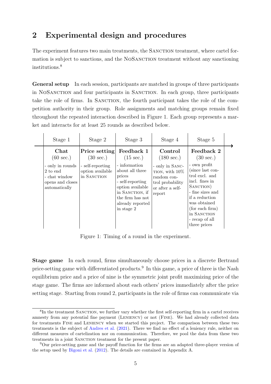### <span id="page-6-0"></span>2 Experimental design and procedures

The experiment features two main treatments, the SANCTION treatment, where cartel formation is subject to sanctions, and the NOSANCTION treatment without any sanctioning institutions.[8](#page-2-0)

General setup In each session, participants are matched in groups of three participants in NOSANCTION and four participants in SANCTION. In each group, three participants take the role of firms. In SANCTION, the fourth participant takes the role of the competition authority in their group. Role assignments and matching groups remain fixed throughout the repeated interaction described in Figure [1.](#page-6-1) Each group represents a market and interacts for at least 25 rounds as described below.

<span id="page-6-1"></span>

| Stage 1                                                                                                           | Stage 2                                                                                     | Stage 3                                                                                                                                                                                          | Stage 4                                                                                                                                  | Stage 5                                                                                                                                                                                                                                          |  |
|-------------------------------------------------------------------------------------------------------------------|---------------------------------------------------------------------------------------------|--------------------------------------------------------------------------------------------------------------------------------------------------------------------------------------------------|------------------------------------------------------------------------------------------------------------------------------------------|--------------------------------------------------------------------------------------------------------------------------------------------------------------------------------------------------------------------------------------------------|--|
| Chat<br>$(60 \text{ sec.})$<br>- only in rounds<br>2 to end<br>- chat window<br>opens and closes<br>automatically | Price setting<br>$(30 \text{ sec.})$<br>- self-reporting<br>option available<br>in SANCTION | Feedback 1<br>$(15 \text{ sec.})$<br>- information<br>about all three<br>prices<br>- self-reporting<br>option available<br>in SANCTION, if<br>the firm has not<br>already reported<br>in stage 2 | Control<br>$(180 \text{ sec.})$<br>- only in SANC-<br>TION, with $10\%$<br>random con-<br>trol probability<br>or after a self-<br>report | Feedback 2<br>$(30 \text{ sec.})$<br>- own profit<br>(since last con-<br>trol excl. and<br>incl. fines in<br>SANCTION)<br>- fine sizes and<br>if a reduction<br>was obtained<br>(for each firm)<br>in SANCTION<br>- recap of all<br>three prices |  |

Figure 1: Timing of a round in the experiment.

Stage game In each round, firms simultaneously choose prices in a discrete Bertrand price-setting game with differentiated products.<sup>[9](#page-2-0)</sup> In this game, a price of three is the Nash equilibrium price and a price of nine is the symmetric joint profit maximizing price of the stage game. The firms are informed about each others' prices immediately after the price setting stage. Starting from round 2, participants in the role of firms can communicate via

<sup>&</sup>lt;sup>8</sup>In the treatment SANCTION, we further vary whether the first self-reporting firm in a cartel receives amnesty from any potential fine payment (LENIENCY) or not (FINE). We had already collected data for treatments Fine and Leniency when we started this project. The comparison between these two treatments is the subject of [Andres et al.](#page-27-1) [\(2021\)](#page-27-1). There we find no effect of a leniency rule, neither on different measures of cartelization nor on communication. Therefore, we pool the data from these two treatments in a joint SANCTION treatment for the present paper.

<sup>9</sup>Our price-setting game and the payoff function for the firms are an adapted three-player version of the setup used by [Bigoni et al.](#page-28-2) [\(2012\)](#page-28-2). The details are contained in Appendix [A.](#page-32-0)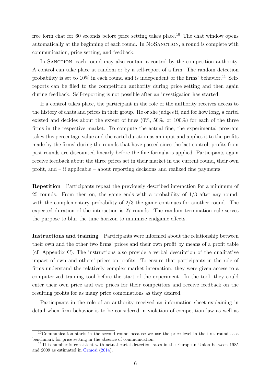free form chat for 60 seconds before price setting takes place.<sup>[10](#page-2-0)</sup> The chat window opens automatically at the beginning of each round. In NOSANCTION, a round is complete with communication, price setting, and feedback.

In SANCTION, each round may also contain a control by the competition authority. A control can take place at random or by a self-report of a firm. The random detection probability is set to  $10\%$  in each round and is independent of the firms' behavior.<sup>[11](#page-2-0)</sup> Selfreports can be filed to the competition authority during price setting and then again during feedback. Self-reporting is not possible after an investigation has started.

If a control takes place, the participant in the role of the authority receives access to the history of chats and prices in their group. He or she judges if, and for how long, a cartel existed and decides about the extent of fines (0%, 50%, or 100%) for each of the three firms in the respective market. To compute the actual fine, the experimental program takes this percentage value and the cartel duration as an input and applies it to the profits made by the firms' during the rounds that have passed since the last control; profits from past rounds are discounted linearly before the fine formula is applied. Participants again receive feedback about the three prices set in their market in the current round, their own profit, and – if applicable – about reporting decisions and realized fine payments.

Repetition Participants repeat the previously described interaction for a minimum of 25 rounds. From then on, the game ends with a probability of 1/3 after any round; with the complementary probability of 2/3 the game continues for another round. The expected duration of the interaction is 27 rounds. The random termination rule serves the purpose to blur the time horizon to minimize endgame effects.

Instructions and training Participants were informed about the relationship between their own and the other two firms' prices and their own profit by means of a profit table (cf. Appendix [C\)](#page-40-0). The instructions also provide a verbal description of the qualitative impact of own and others' prices on profits. To ensure that participants in the role of firms understand the relatively complex market interaction, they were given access to a computerized training tool before the start of the experiment. In the tool, they could enter their own price and two prices for their competitors and receive feedback on the resulting profits for as many price combinations as they desired.

Participants in the role of an authority received an information sheet explaining in detail when firm behavior is to be considered in violation of competition law as well as

<sup>10</sup>Communication starts in the second round because we use the price level in the first round as a benchmark for price setting in the absence of communication.

<sup>&</sup>lt;sup>11</sup>This number is consistent with actual cartel detection rates in the European Union between 1985 and 2009 as estimated in [Ormosi](#page-31-7) [\(2014\)](#page-31-7).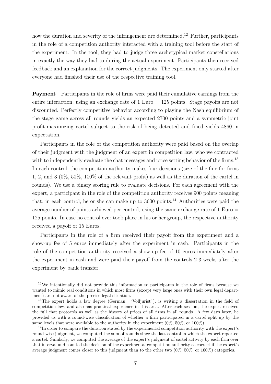how the duration and severity of the infringement are determined.<sup>[12](#page-2-0)</sup> Further, participants in the role of a competition authority interacted with a training tool before the start of the experiment. In the tool, they had to judge three archetypical market constellations in exactly the way they had to during the actual experiment. Participants then received feedback and an explanation for the correct judgments. The experiment only started after everyone had finished their use of the respective training tool.

Payment Participants in the role of firms were paid their cumulative earnings from the entire interaction, using an exchange rate of 1 Euro = 125 points. Stage payoffs are not discounted. Perfectly competitive behavior according to playing the Nash equilibrium of the stage game across all rounds yields an expected 2700 points and a symmetric joint profit-maximizing cartel subject to the risk of being detected and fined yields 4860 in expectation.

Participants in the role of the competition authority were paid based on the overlap of their judgment with the judgment of an expert in competition law, who we contracted with to independently evaluate the chat messages and price setting behavior of the firms.<sup>[13](#page-2-0)</sup> In each control, the competition authority makes four decisions (size of the fine for firms 1, 2, and 3 (0%, 50%, 100% of the relevant profit) as well as the duration of the cartel in rounds). We use a binary scoring rule to evaluate decisions. For each agreement with the expert, a participant in the role of the competition authority receives 900 points meaning that, in each control, he or she can make up to  $3600$  points.<sup>[14](#page-2-0)</sup> Authorities were paid the average number of points achieved per control, using the same exchange rate of 1 Euro = 125 points. In case no control ever took place in his or her group, the respective authority received a payoff of 15 Euros.

Participants in the role of a firm received their payoff from the experiment and a show-up fee of 5 euros immediately after the experiment in cash. Participants in the role of the competition authority received a show-up fee of 10 euros immediately after the experiment in cash and were paid their payoff from the controls 2-3 weeks after the experiment by bank transfer.

 $12\text{We intentionally did not provide this information to participants in the role of firms because we}$ wanted to mimic real conditions in which most firms (except very large ones with their own legal department) are not aware of the precise legal situation.

<sup>&</sup>lt;sup>13</sup>The expert holds a law degree (German: "Volljurist"), is writing a dissertation in the field of competition law, and also has practical experience in this area. After each session, the expert received the full chat protocols as well as the history of prices of all firms in all rounds. A few days later, he provided us with a round-wise classification of whether a firm participated in a cartel split up by the same levels that were available to the authority in the experiment  $(0\%, 50\%, \text{ or } 100\%).$ 

<sup>14</sup>In order to compare the duration stated by the experimental competition authority with the expert's round-wise judgment, we computed the sum of rounds since the last control in which the expert reported a cartel. Similarly, we computed the average of the expert's judgment of cartel activity by each firm over that interval and counted the decision of the experimental competition authority as correct if the expert's average judgment comes closer to this judgment than to the other two (0%, 50%, or 100%) categories.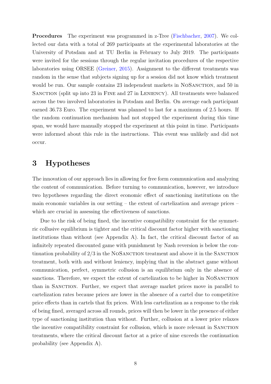Procedures The experiment was programmed in z-Tree [\(Fischbacher,](#page-29-8) [2007\)](#page-29-8). We collected our data with a total of 269 participants at the experimental laboratories at the University of Potsdam and at TU Berlin in February to July 2019. The participants were invited for the sessions through the regular invitation procedures of the respective laboratories using ORSEE [\(Greiner,](#page-30-7) [2015\)](#page-30-7). Assignment to the different treatments was random in the sense that subjects signing up for a session did not know which treatment would be run. Our sample contains 23 independent markets in NOSANCTION, and 50 in SANCTION (split up into 23 in FINE and 27 in LENIENCY). All treatments were balanced across the two involved laboratories in Potsdam and Berlin. On average each participant earned 36.73 Euro. The experiment was planned to last for a maximum of 2.5 hours. If the random continuation mechanism had not stopped the experiment during this time span, we would have manually stopped the experiment at this point in time. Participants were informed about this rule in the instructions. This event was unlikely and did not occur.

### <span id="page-9-0"></span>3 Hypotheses

The innovation of our approach lies in allowing for free form communication and analyzing the content of communication. Before turning to communication, however, we introduce two hypotheses regarding the direct economic effect of sanctioning institutions on the main economic variables in our setting – the extent of cartelization and average prices – which are crucial in assessing the effectiveness of sanctions.

Due to the risk of being fined, the incentive compatibility constraint for the symmetric collusive equilibrium is tighter and the critical discount factor higher with sanctioning institutions than without (see Appendix [A\)](#page-32-0). In fact, the critical discount factor of an infinitely repeated discounted game with punishment by Nash reversion is below the continuation probability of  $2/3$  in the NOSANCTION treatment and above it in the SANCTION treatment, both with and without leniency, implying that in the abstract game without communication, perfect, symmetric collusion is an equilibrium only in the absence of sanctions. Therefore, we expect the extent of cartelization to be higher in NOSANCTION than in SANCTION. Further, we expect that average market prices move in parallel to cartelization rates because prices are lower in the absence of a cartel due to competitive price effects than in cartels that fix prices. With less cartelization as a response to the risk of being fined, averaged across all rounds, prices will then be lower in the presence of either type of sanctioning institution than without. Further, collusion at a lower price relaxes the incentive compatibility constraint for collusion, which is more relevant in SANCTION treatments, where the critical discount factor at a price of nine exceeds the continuation probability (see Appendix [A\)](#page-32-0).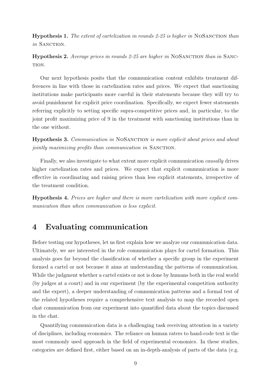<span id="page-10-3"></span>Hypothesis 1. The extent of cartelization in rounds 2-25 is higher in NoSanction than in SANCTION.

<span id="page-10-4"></span>**Hypothesis 2.** Average prices in rounds 2-25 are higher in NOSANCTION than in SANC-TION.

Our next hypothesis posits that the communication content exhibits treatment differences in line with those in cartelization rates and prices. We expect that sanctioning institutions make participants more careful in their statements because they will try to avoid punishment for explicit price coordination. Specifically, we expect fewer statements referring explicitly to setting specific supra-competitive prices and, in particular, to the joint profit maximizing price of 9 in the treatment with sanctioning institutions than in the one without.

<span id="page-10-1"></span>Hypothesis 3. Communication in NOSANCTION is more explicit about prices and about jointly maximizing profits than communication in SANCTION.

Finally, we also investigate to what extent more explicit communication causally drives higher cartelization rates and prices. We expect that explicit communication is more effective in coordinating and raising prices than less explicit statements, irrespective of the treatment condition.

<span id="page-10-2"></span>Hypothesis 4. Prices are higher and there is more cartelization with more explicit communication than when communication is less explicit.

### <span id="page-10-0"></span>4 Evaluating communication

Before testing our hypotheses, let us first explain how we analyze our communication data. Ultimately, we are interested in the role communication plays for cartel formation. This analysis goes far beyond the classification of whether a specific group in the experiment formed a cartel or not because it aims at understanding the patterns of communication. While the judgment whether a cartel exists or not is done by humans both in the real world (by judges at a court) and in our experiment (by the experimental competition authority and the expert), a deeper understanding of communication patterns and a formal test of the related hypotheses require a comprehensive text analysis to map the recorded open chat communication from our experiment into quantified data about the topics discussed in the chat.

Quantifying communication data is a challenging task receiving attention in a variety of disciplines, including economics. The reliance on human raters to hand-code text is the most commonly used approach in the field of experimental economics. In these studies, categories are defined first, either based on an in-depth-analysis of parts of the data (e.g.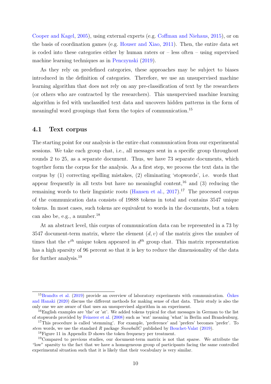[Cooper and Kagel,](#page-28-6) [2005\)](#page-28-6), using external experts (e.g. [Coffman and Niehaus,](#page-28-7) [2015\)](#page-28-7), or on the basis of coordination games (e.g. [Houser and Xiao,](#page-30-8) [2011\)](#page-30-8). Then, the entire data set is coded into these categories either by human raters or – less often – using supervised machine learning techniques as in [Penczynski](#page-31-8) [\(2019\)](#page-31-8).

As they rely on predefined categories, these approaches may be subject to biases introduced in the definition of categories. Therefore, we use an unsupervised machine learning algorithm that does not rely on any pre-classification of text by the researchers (or others who are contracted by the researchers). This unsupervised machine learning algorithm is fed with unclassified text data and uncovers hidden patterns in the form of meaningful word groupings that form the topics of communication.[15](#page-2-0)

#### 4.1 Text corpus

The starting point for our analysis is the entire chat communication from our experimental sessions. We take each group chat, i.e., all messages sent in a specific group throughout rounds 2 to 25, as a separate document. Thus, we have 73 separate documents, which together form the corpus for the analysis. As a first step, we process the text data in the corpus by (1) correcting spelling mistakes, (2) eliminating 'stopwords', i.e. words that appear frequently in all texts but have no meaningful content,  $16$  and (3) reducing the remaining words to their linguistic roots [\(Hansen et al.,](#page-30-5)  $2017$  $2017$ ).<sup>17</sup> The processed corpus of the communication data consists of 19888 tokens in total and contains 3547 unique tokens. In most cases, such tokens are equivalent to words in the documents, but a token can also be, e.g., a number. $^{18}$  $^{18}$  $^{18}$ 

At an abstract level, this corpus of communication data can be represented in a 73 by 3547 document-term matrix, where the element  $(d, v)$  of the matrix gives the number of times that the  $v^{th}$  unique token appeared in  $d^{th}$  group chat. This matrix representation has a high sparsity of 96 percent so that it is key to reduce the dimensionality of the data for further analysis.[19](#page-2-0)

 $^{15}$ [Brandts et al.](#page-28-8) [\(2019\)](#page-28-8) provide an overview of laboratory experiments with communication. [Ozkes](#page-31-1) [and Hanaki](#page-31-1) [\(2020\)](#page-31-1) discuss the different methods for making sense of chat data. Their study is also the only one we are aware of that uses an unsupervised algorithm in an experiment.

<sup>&</sup>lt;sup>16</sup>English examples are 'the' or 'at'. We added tokens typical for chat messages in German to the list of stopwords provided by [Feinerer et al.](#page-29-9) [\(2008\)](#page-29-9) such as 'wat' meaning 'what' in Berlin and Brandenburg. <sup>17</sup>This procedure is called 'stemming'. For example, 'preference' and 'prefers' becomes 'prefer'. To

stem words, we use the standard R package SnowballC published by [Bouchet-Valat](#page-28-9) [\(2019\)](#page-28-9).

<sup>18</sup>Figure [11](#page-53-1) in Appendix [D](#page-53-0) shows the token frequency per treatment.

<sup>&</sup>lt;sup>19</sup>Compared to previous studies, our document-term matrix is not that sparse. We attribute the "low" sparsity to the fact that we have a homogeneous group of participants facing the same controlled experimental situation such that it is likely that their vocabulary is very similar.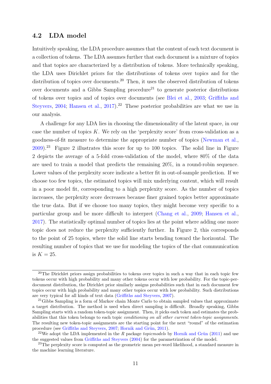#### 4.2 LDA model

Intuitively speaking, the LDA procedure assumes that the content of each text document is a collection of tokens. The LDA assumes further that each document is a mixture of topics and that topics are characterized by a distribution of tokens. More technically speaking, the LDA uses Dirichlet priors for the distributions of tokens over topics and for the distribution of topics over documents.<sup>[20](#page-2-0)</sup> Then, it uses the observed distribution of tokens over documents and a Gibbs Sampling procedure<sup>[21](#page-2-0)</sup> to generate posterior distributions of tokens over topics and of topics over documents (see [Blei et al.,](#page-28-1) [2003;](#page-28-1) [Griffiths and](#page-30-9) [Steyvers,](#page-30-9) [2004;](#page-30-9) [Hansen et al.,](#page-30-5) [2017\)](#page-30-5).<sup>[22](#page-2-0)</sup> These posterior probabilities are what we use in our analysis.

A challenge for any LDA lies in choosing the dimensionality of the latent space, in our case the number of topics  $K$ . We rely on the 'perplexity score' from cross-validation as a goodness-of-fit measure to determine the appropriate number of topics [\(Newman et al.,](#page-31-9) [2009\)](#page-31-9).[23](#page-2-0) Figure [2](#page-13-0) illustrates this score for up to 100 topics. The solid line in Figure [2](#page-13-0) depicts the average of a 5-fold cross-validation of the model, where 80% of the data are used to train a model that predicts the remaining 20%, in a round-robin sequence. Lower values of the perplexity score indicate a better fit in out-of-sample prediction. If we choose too few topics, the estimated topics will mix underlying content, which will result in a poor model fit, corresponding to a high perplexity score. As the number of topics increases, the perplexity score decreases because finer grained topics better approximate the true data. But if we choose too many topics, they might become very specific to a particular group and be more difficult to interpret [\(Chang et al.,](#page-28-10) [2009;](#page-28-10) [Hansen et al.,](#page-30-5) [2017\)](#page-30-5). The statistically optimal number of topics lies at the point where adding one more topic does not reduce the perplexity sufficiently further. In Figure [2,](#page-13-0) this corresponds to the point of 25 topics, where the solid line starts bending toward the horizontal. The resulting number of topics that we use for modeling the topics of the chat communication is  $K = 25$ .

<sup>&</sup>lt;sup>20</sup>The Dirichlet priors assign probabilities to tokens over topics in such a way that in each topic few tokens occur with high probability and many other tokens occur with low probability. For the topic-perdocument distribution, the Dirichlet prior similarly assigns probabilities such that in each document few topics occur with high probability and many other topics occur with low probability. Such distributions are very typical for all kinds of text data [\(Griffiths and Steyvers,](#page-30-10) [2007\)](#page-30-10).

<sup>&</sup>lt;sup>21</sup>Gibbs Sampling is a form of Markov chain Monte Carlo to obtain sampled values that approximate a target distribution. The method is used when direct sampling is difficult. Broadly speaking, Gibbs Sampling starts with a random token-topic assignment. Then, it picks each token and estimates the probabilities that this token belongs to each topic *conditioning on all other current token-topic assignments*. The resulting new token-topic assignments are the starting point for the next "round" of the estimation procedure (see [Griffiths and Steyvers,](#page-30-10) [2007;](#page-30-10) Hornik and Grün, [2011\)](#page-30-11).

<sup>&</sup>lt;sup>22</sup>We adopt the LDA implemented in the R package topic models by Hornik and Grün [\(2011\)](#page-30-11) and use the suggested values from [Griffiths and Steyvers](#page-30-9) [\(2004\)](#page-30-9) for the parametrization of the model.

 $^{23}$ The perplexity score is computed as the geometric mean per-word likelihood, a standard measure in the machine learning literature.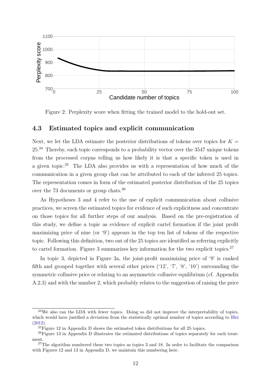<span id="page-13-0"></span>

Figure 2: Perplexity score when fitting the trained model to the hold-out set.

#### 4.3 Estimated topics and explicit communication

Next, we let the LDA estimate the posterior distributions of tokens over topics for  $K =$ 25.[24](#page-2-0) Thereby, each topic corresponds to a probability vector over the 3547 unique tokens from the processed corpus telling us how likely it is that a specific token is used in a given topic.[25](#page-2-0) The LDA also provides us with a representation of how much of the communication in a given group chat can be attributed to each of the inferred 25 topics. The representation comes in form of the estimated posterior distribution of the 25 topics over the 73 documents or group chats.[26](#page-2-0)

As Hypotheses [3](#page-10-1) and [4](#page-10-2) refer to the use of explicit communication about collusive practices, we screen the estimated topics for evidence of such explicitness and concentrate on those topics for all further steps of our analysis. Based on the pre-registration of this study, we define a topic as evidence of explicit cartel formation if the joint profit maximizing price of nine (or '9') appears in the top ten list of tokens of the respective topic. Following this definition, two out of the 25 topics are identified as referring explicitly to cartel formation. Figure [3](#page-14-1) summarizes key information for the two explicit topics.<sup>[27](#page-2-0)</sup>

In topic 3, depicted in Figure [3a,](#page-14-1) the joint-profit maximizing price of '9' is ranked fifth and grouped together with several other prices  $(12, 7, 8, 10)$  surrounding the symmetric collusive price or relating to an asymmetric collusive equilibrium (cf. Appendix [A.2.3\)](#page-37-0) and with the number 2, which probably relates to the suggestion of raising the price

<sup>&</sup>lt;sup>24</sup>We also ran the LDA with fewer topics. Doing so did not improve the interpretability of topics, which would have justified a deviation from the statistically optimal number of topics according to [Blei](#page-28-11) [\(2012\)](#page-28-11).

<sup>25</sup>Figure [12](#page-54-0) in Appendix [D](#page-53-0) shows the estimated token distributions for all 25 topics.

<sup>26</sup>Figure [13](#page-55-0) in Appendix [D](#page-53-0) illustrates the estimated distributions of topics separately for each treatment.

 $27$ The algorithm numbered these two topics as topics 3 and 18. In order to facilitate the comparison with Figures [12](#page-54-0) and [13](#page-55-0) in Appendix [D,](#page-53-0) we maintain this numbering here.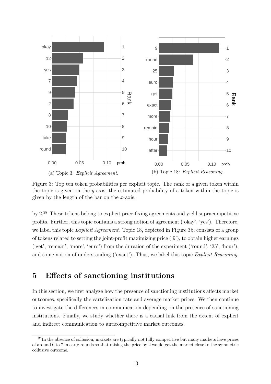<span id="page-14-1"></span>

Figure 3: Top ten token probabilities per explicit topic. The rank of a given token within the topic is given on the y-axis, the estimated probability of a token within the topic is given by the length of the bar on the  $x$ -axis.

by 2.[28](#page-2-0) These tokens belong to explicit price-fixing agreements and yield supracompetitive profits. Further, this topic contains a strong notion of agreement ('okay', 'yes'). Therefore, we label this topic *Explicit Agreement*. Topic 18, depicted in Figure [3b,](#page-14-1) consists of a group of tokens related to setting the joint-profit maximizing price ('9'), to obtain higher earnings ('get', 'remain', 'more', 'euro') from the duration of the experiment ('round', '25', 'hour'), and some notion of understanding ('exact'). Thus, we label this topic Explicit Reasoning.

### <span id="page-14-0"></span>5 Effects of sanctioning institutions

In this section, we first analyze how the presence of sanctioning institutions affects market outcomes, specifically the cartelization rate and average market prices. We then continue to investigate the differences in communication depending on the presence of sanctioning institutions. Finally, we study whether there is a causal link from the extent of explicit and indirect communication to anticompetitive market outcomes.

<sup>28</sup>In the absence of collusion, markets are typically not fully competitive but many markets have prices of around 6 to 7 in early rounds so that raising the price by 2 would get the market close to the symmetric collusive outcome.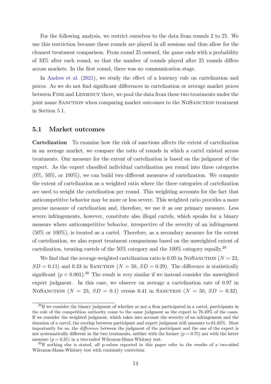For the following analysis, we restrict ourselves to the data from rounds 2 to 25. We use this restriction because these rounds are played in all sessions and thus allow for the cleanest treatment comparison. From round 25 onward, the game ends with a probability of 33% after each round, so that the number of rounds played after 25 rounds differs across markets. In the first round, there was no communication stage.

In [Andres et al.](#page-27-1) [\(2021\)](#page-27-1), we study the effect of a leniency rule on cartelization and prices. As we do not find significant differences in cartelization or average market prices between FINE and LENIENCY there, we pool the data from these two treatments under the joint name SANCTION when comparing market outcomes to the NOSANCTION treatment in Section [5.1.](#page-15-0)

#### 5.1 Market outcomes

<span id="page-15-0"></span>Cartelization To examine how the risk of sanctions affects the extent of cartelization in an average market, we compare the ratio of rounds in which a cartel existed across treatments. Our measure for the extent of cartelization is based on the judgment of the expert. As the expert classified individual cartelization per round into three categories  $(0\%, 50\%, \text{ or } 100\%)$ , we can build two different measures of cartelization. We compute the extent of cartelization as a weighted ratio where the three categories of cartelization are used to weight the cartelization per round. This weighting accounts for the fact that anticompetitive behavior may be more or less severe. This weighted ratio provides a more precise measure of cartelization and, therefore, we use it as our primary measure. Less severe infringements, however, constitute also illegal cartels, which speaks for a binary measure where anticompetitive behavior, irrespective of the severity of an infringement (50% or 100%), is treated as a cartel. Therefore, as a secondary measure for the extent of cartelization, we also report treatment comparisons based on the unweighted extent of cartelization, treating cartels of the 50% category and the 100% category equally.[29](#page-2-0)

We find that the average weighted cartelization ratio is 0.95 in NOSANCTION ( $N = 23$ ,  $SD = 0.11$ ) and 0.33 in SANCTION ( $N = 50$ ,  $SD = 0.29$ ). The difference is statistically significant  $(p < 0.001)$ .<sup>[30](#page-2-0)</sup> The result is very similar if we instead consider the unweighted expert judgment. In this case, we observe on average a cartelization rate of 0.97 in NOSANCTION ( $N = 23$ ,  $SD = 0.1$ ) versus 0.41 in SANCTION ( $N = 50$ ,  $SD = 0.32$ ).

 $^{29}$ If we consider the binary judgment of whether or not a firm participated in a cartel, participants in the role of the competition authority come to the same judgment as the expert in 76.49% of the cases. If we consider the weighted judgment, which takes into account the severity of an infringement and the duration of a cartel, the overlap between participant and expert judgment still amounts to 61.05%. Most importantly for us, the difference between the judgment of the participant and the one of the expert is not systematically different in the two treatments, neither with the former  $(p = 0.75)$  nor with the latter measure  $(p = 0.31)$  in a two-tailed Wilcoxon-Mann-Whitney test.

<sup>&</sup>lt;sup>30</sup>If nothing else is stated, all p-values reported in this paper refer to the results of a two-sided Wilcoxon-Mann-Whitney test with continuity correction.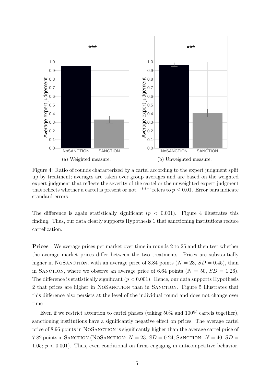<span id="page-16-0"></span>

Figure 4: Ratio of rounds characterized by a cartel according to the expert judgment split up by treatment; averages are taken over group averages and are based on the weighted expert judgment that reflects the severity of the cartel or the unweighted expert judgment that reflects whether a cartel is present or not. '\*\*\*' refers to  $p \leq 0.01$ . Error bars indicate standard errors.

The difference is again statistically significant ( $p < 0.001$ ). Figure [4](#page-16-0) illustrates this finding. Thus, our data clearly supports Hypothesis [1](#page-10-3) that sanctioning institutions reduce cartelization.

Prices We average prices per market over time in rounds 2 to 25 and then test whether the average market prices differ between the two treatments. Prices are substantially higher in NOSANCTION, with an average price of 8.84 points ( $N = 23$ ,  $SD = 0.45$ ), than in SANCTION, where we observe an average price of 6.64 points  $(N = 50, SD = 1.26)$ . The difference is statistically significant  $(p < 0.001)$ . Hence, our data supports Hypothesis [2](#page-10-4) that prices are higher in NOSANCTION than in SANCTION. Figure [5](#page-17-0) illustrates that this difference also persists at the level of the individual round and does not change over time.

Even if we restrict attention to cartel phases (taking 50% and 100% cartels together), sanctioning institutions have a significantly negative effect on prices. The average cartel price of 8.96 points in NoSanction is significantly higher than the average cartel price of 7.82 points in SANCTION (NOSANCTION:  $N = 23$ ,  $SD = 0.24$ ; SANCTION:  $N = 40$ ,  $SD =$ 1.05;  $p < 0.001$ ). Thus, even conditional on firms engaging in anticompetitive behavior,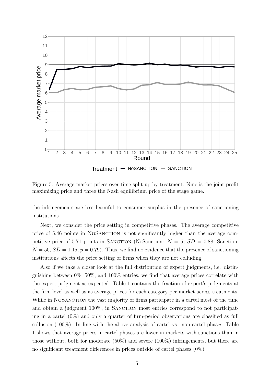<span id="page-17-0"></span>

Figure 5: Average market prices over time split up by treatment. Nine is the joint profit maximizing price and three the Nash equilibrium price of the stage game.

the infringements are less harmful to consumer surplus in the presence of sanctioning institutions.

Next, we consider the price setting in competitive phases. The average competitive price of 5.46 points in NoSanction is not significantly higher than the average competitive price of 5.71 points in SANCTION (NoSanction:  $N = 5$ ,  $SD = 0.88$ ; Sanction:  $N = 50$ ,  $SD = 1.15$ ;  $p = 0.79$ ). Thus, we find no evidence that the presence of sanctioning institutions affects the price setting of firms when they are not colluding.

Also if we take a closer look at the full distribution of expert judgments, i.e. distinguishing between  $0\%, 50\%, \text{ and } 100\%$  entries, we find that average prices correlate with the expert judgment as expected. Table [1](#page-18-0) contains the fraction of expert's judgments at the firm level as well as as average prices for each category per market across treatments. While in NOSANCTION the vast majority of firms participate in a cartel most of the time and obtain a judgment  $100\%$ , in SANCTION most entries correspond to not participating in a cartel  $(0\%)$  and only a quarter of firm-period observations are classified as full collusion  $(100\%)$ . In line with the above analysis of cartel vs. non-cartel phases, Table [1](#page-18-0) shows that average prices in cartel phases are lower in markets with sanctions than in those without, both for moderate (50%) and severe (100%) infringements, but there are no significant treatment differences in prices outside of cartel phases (0%).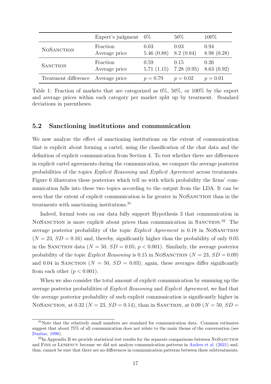<span id="page-18-0"></span>

|                                    | Expert's judgment | $0\%$      | $50\%$     | $100\%$    |
|------------------------------------|-------------------|------------|------------|------------|
| <b>NOSANCTION</b>                  | Fraction          | 0.03       | 0.03       | 0.94       |
|                                    | Average price     | 5.46(0.88) | 8.2(0.84)  | 8.98(0.28) |
| <b>SANCTION</b>                    | Fraction          | 0.59       | 0.15       | 0.26       |
|                                    | Average price     | 5.71(1.15) | 7.28(0.95) | 8.63(0.92) |
| Treatment difference Average price |                   | $p = 0.79$ | $p = 0.02$ | $p = 0.01$ |

Table 1: Fraction of markets that are categorized as 0%, 50%, or 100% by the expert and average prices within each category per market split up by treatment. Standard deviations in parentheses.

### <span id="page-18-1"></span>5.2 Sanctioning institutions and communication

We now analyze the effect of sanctioning institutions on the extent of communication that is explicit about forming a cartel, using the classification of the chat data and the definition of explicit communication from Section [4.](#page-10-0) To test whether there are differences in explicit cartel agreements during the communication, we compare the average posterior probabilities of the topics Explicit Reasoning and Explicit Agreement across treatments. Figure [6](#page-19-0) illustrates these posteriors which tell us with which probability the firms' communication falls into these two topics according to the output from the LDA. It can be seen that the extent of explicit communication is far greater in NOSANCTION than in the treatments with sanctioning institutions.[31](#page-2-0)

Indeed, formal tests on our data fully support Hypothesis [3](#page-10-1) that communication in NOSANCTION is more explicit about prices than communication in SANCTION.<sup>[32](#page-2-0)</sup> The average posterior probability of the topic *Explicit Agreement* is 0.18 in NOSANCTION  $(N = 23, SD = 0.16)$  and, thereby, significantly higher than the probability of only 0.05 in the SANCTION data ( $N = 50$ ,  $SD = 0.05$ ;  $p < 0.001$ ). Similarly, the average posterior probability of the topic *Explicit Reasoning* is 0.15 in NOSANCTION ( $N = 23$ ,  $SD = 0.09$ ) and 0.04 in SANCTION ( $N = 50$ ,  $SD = 0.03$ ); again, these averages differ significantly from each other  $(p < 0.001)$ .

When we also consider the total amount of explicit communication by summing up the average posterior probabilities of Explicit Reasoning and Explicit Agreement, we find that the average posterior probability of such explicit communication is significantly higher in NOSANCTION, at 0.32 ( $N = 23$ ,  $SD = 0.14$ ), than in SANCTION, at 0.09 ( $N = 50$ ,  $SD =$ 

 $31$ Note that the relatively small numbers are standard for communication data. Common estimates suggest that about 75% of all communication does not relate to the main theme of the conversation (see [Dunbar,](#page-29-10) [1998\)](#page-29-10).

<sup>&</sup>lt;sup>32</sup>In Appendix [B](#page-39-0) we provide statistical test results for the separate comparisons between NOSANCTION and Fine or Leniency because we did not analyze communication patterns in [Andres et al.](#page-27-1) [\(2021\)](#page-27-1) and, thus, cannot be sure that there are no differences in communication patterns between these subtreatments.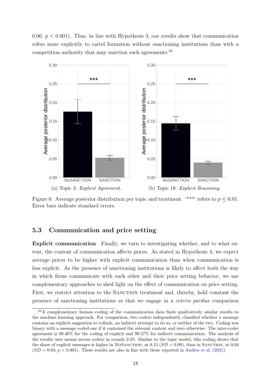0.06;  $p < 0.001$ ). Thus, in line with Hypothesis [3,](#page-10-1) our results show that communication refers more explicitly to cartel formation without sanctioning institutions than with a competition authority that may sanction such agreements.[33](#page-2-0)

<span id="page-19-0"></span>

Figure 6: Average posterior distribution per topic and treatment. '\*\*\*' refers to  $p \le 0.01$ . Error bars indicate standard errors.

#### 5.3 Communication and price setting

Explicit communication Finally, we turn to investigating whether, and to what extent, the content of communication affects prices. As stated in Hypothesis [4,](#page-10-2) we expect average prices to be higher with explicit communication than when communication is less explicit. As the presence of sanctioning institutions is likely to affect both the way in which firms communicate with each other and their price setting behavior, we use complementary approaches to shed light on the effect of communication on price setting. First, we restrict attention to the SANCTION treatment and, thereby, hold constant the presence of sanctioning institutions so that we engage in a ceteris paribus comparison

<sup>33</sup>A complementary human coding of the communication data finds qualitatively similar results to the machine learning approach. For comparison, two coders independently classified whether a message contains an explicit suggestion to collude, an indirect attempt to do so, or neither of the two. Coding was binary with a message coded one if it contained the relevant content and zero otherwise. The inter-coder agreement is 99.40% for the coding of explicit and 99.57% for indirect communication. The analysis of the results uses means across coders in rounds 2-25. Similar to the topic model, this coding shows that the share of explicit messages is higher in NOSANCTION, at  $0.15$  ( $SD = 0.09$ ), than in SANCTION, at  $0.04$  $(SD = 0.04; p < 0.001)$ . These results are also in line with those reported in [Andres et al.](#page-27-1) [\(2021\)](#page-27-1).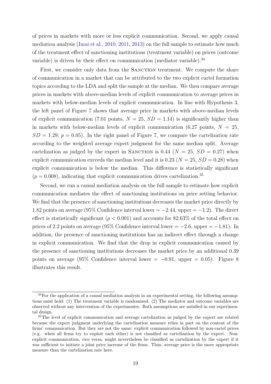of prices in markets with more or less explicit communication. Second, we apply causal mediation analysis [\(Imai et al.,](#page-30-12) [2010,](#page-30-12) [2011,](#page-31-10) [2013\)](#page-31-11) on the full sample to estimate how much of the treatment effect of sanctioning institutions (treatment variable) on prices (outcome variable) is driven by their effect on communication (mediator variable).<sup>[34](#page-2-0)</sup>

First, we consider only data from the SANCTION treatment. We compute the share of communication in a market that can be attributed to the two explicit cartel formation topics according to the LDA and split the sample at the median. We then compare average prices in markets with above-median levels of explicit communication to average prices in markets with below-median levels of explicit communication. In line with Hypothesis [3,](#page-10-1) the left panel of Figure [7](#page-21-0) shows that average price in markets with above-median levels of explicit communication (7.01 points,  $N = 25$ ,  $SD = 1.14$ ) is significantly higher than in markets with below-median levels of explicit communication (6.27 points,  $N = 25$ ,  $SD = 1.29$ ;  $p = 0.05$ ). In the right panel of Figure [7,](#page-21-0) we compare the cartelization rate according to the weighted average expert judgment for the same median split. Average cartelization as judged by the expert in SANCTION is 0.44 ( $N = 25$ ,  $SD = 0.27$ ) when explicit communication exceeds the median level and it is 0.23 ( $N = 25$ ,  $SD = 0.28$ ) when explicit communication is below the median. This difference is statistically significant  $(p = 0.008)$ , indicating that explicit communication drives cartelization.<sup>[35](#page-2-0)</sup>

Second, we run a causal mediation analysis on the full sample to estimate how explicit communication mediates the effect of sanctioning institutions on price setting behavior. We find that the presence of sanctioning institutions decreases the market price directly by 1.82 points on average (95% Confidence interval lower  $=-2.44$ , upper  $=-1.2$ ). The direct effect is statistically significant ( $p < 0.001$ ) and accounts for 82.63% of the total effect on prices of 2.2 points on average (95% Confidence interval lower =  $-2.6$ , upper =  $-1.81$ ). In addition, the presence of sanctioning institutions has an indirect effect through a change in explicit communication. We find that the drop in explicit communication caused by the presence of sanctioning institutions decreases the market price by an additional 0.39 points on average (95% Confidence interval lower =  $-0.91$ , upper = 0.05). Figure [8](#page-22-0) illustrates this result.

<sup>&</sup>lt;sup>34</sup>For the application of a causal mediation analysis in an experimental setting, the following assumptions must hold: (1) The treatment variable is randomized. (2) The mediator and outcome variables are observed without any intervention of the experimenter. Both assumptions are satisfied in our experimental design.

<sup>&</sup>lt;sup>35</sup>The level of explicit communication and average cartelization as judged by the expert are related because the expert judgment underlying the cartelization measure relies in part on the content of the firms' communication. But they are not the same: explicit communication followed by non-cartel prices (e.g. when all firms try to exploit each other) is not classified as cartelization by the expert. Nonexplicit communication, vice versa, might nevertheless be classified as cartelization by the expert if it was sufficient to initiate a joint price increase of the firms. Thus, average price is the more appropriate measure than the cartelization rate here.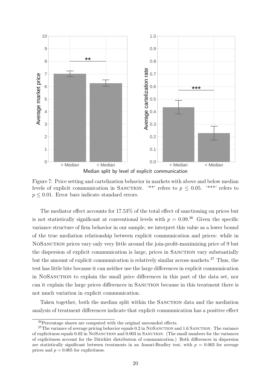<span id="page-21-0"></span>

Figure 7: Price setting and cartelization behavior in markets with above and below median levels of explicit communication in SANCTION. '\*\*' refers to  $p \leq 0.05$ . '\*\*\*' refers to  $p \leq 0.01$ . Error bars indicate standard errors.

The mediator effect accounts for 17.53% of the total effect of sanctioning on prices but is not statistically significant at conventional levels with  $p = 0.09^{36}$  $p = 0.09^{36}$  $p = 0.09^{36}$  Given the specific variance structure of firm behavior in our sample, we interpret this value as a lower bound of the true mediation relationship between explicit communication and prices: while in NoSanction prices vary only very little around the join-profit-maximizing price of 9 but the dispersion of explicit communication is large, prices in SANCTION vary substantially but the amount of explicit communication is relatively similar across markets.[37](#page-2-0) Thus, the test has little bite because it can neither use the large differences in explicit communication in NoSanction to explain the small price differences in this part of the data set, nor can it explain the large prices differences in Sanction because in this treatment there is not much variation in explicit communication.

Taken together, both the median split within the SANCTION data and the mediation analysis of treatment differences indicate that explicit communication has a positive effect

<sup>36</sup>Percentage shares are computed with the original unrounded effects.

<sup>&</sup>lt;sup>37</sup>The variance of average pricing behavior equals 0.2 in NOSANCTION and 1.6 SANCTION. The variance of explicitness equals 0.02 in NoSanction and 0.003 in Sanction. (The small numbers for the variances of explicitness account for the Dirichlet distribution of communication.) Both differences in dispersion are statistically significant between treatments in an Ansari-Bradley test, with  $p = 0.003$  for average prices and  $p = 0.005$  for explicitness.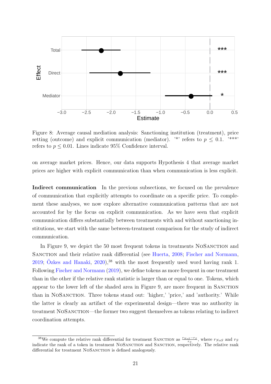<span id="page-22-0"></span>

Figure 8: Average causal mediation analysis: Sanctioning institution (treatment), price setting (outcome) and explicit communication (mediator). <sup>\*\*</sup>' refers to  $p \leq 0.1$ . <sup>\*\*\*\*</sup>' refers to  $p \leq 0.01$ . Lines indicate 95\% Confidence interval.

on average market prices. Hence, our data supports Hypothesis [4](#page-10-2) that average market prices are higher with explicit communication than when communication is less explicit.

Indirect communication In the previous subsections, we focused on the prevalence of communication that explicitly attempts to coordinate on a specific price. To complement these analyses, we now explore alternative communication patterns that are not accounted for by the focus on explicit communication. As we have seen that explicit communication differs substantially between treatments with and without sanctioning institutions, we start with the same between-treatment comparison for the study of indirect communication.

In Figure [9,](#page-23-0) we depict the 50 most frequent tokens in treatments NOSANCTION and SANCTION and their relative rank differential (see [Huerta,](#page-30-4) [2008;](#page-30-4) [Fischer and Normann,](#page-29-11) [2019;](#page-29-11) Özkes and Hanaki,  $2020$ ,<sup>[38](#page-2-0)</sup> with the most frequently used word having rank 1. Following [Fischer and Normann](#page-29-11) [\(2019\)](#page-29-11), we define tokens as more frequent in one treatment than in the other if the relative rank statistic is larger than or equal to one. Tokens, which appear to the lower left of the shaded area in Figure [9,](#page-23-0) are more frequent in Sanction than in NoSanction. Three tokens stand out: 'higher,' 'price,' and 'authority.' While the latter is clearly an artifact of the experimental design—there was no authority in treatment NOSANCTION—the former two suggest themselves as tokens relating to indirect coordination attempts.

<sup>&</sup>lt;sup>38</sup>We compute the relative rank differential for treatment SANCTION as  $\frac{r_{NoS}-r_S}{r_S}$ , where  $r_{NoS}$  and  $r_S$ indicate the rank of a token in treatment NOSANCTION and SANCTION, respectively. The relative rank differential for treatment NOSANCTION is defined analogously.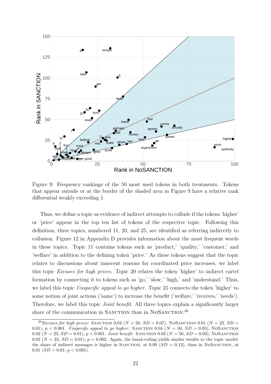<span id="page-23-0"></span>

Figure 9: Frequency rankings of the 50 most used tokens in both treatments. Tokens that appear outside or at the border of the shaded area in Figure [9](#page-23-0) have a relative rank differential weakly exceeding 1.

Thus, we define a topic as evidence of indirect attempts to collude if the tokens 'higher' or 'price' appear in the top ten list of tokens of the respective topic. Following this definition, three topics, numbered 11, 20, and 25, are identified as referring indirectly to collusion. Figure [12](#page-54-0) in Appendix [D](#page-53-0) provides information about the most frequent words in these topics. Topic 11 contains tokens such as 'product,' 'quality,' 'customer,' and 'welfare' in addition to the defining token 'price.' As these tokens suggest that the topic relates to discussions about innocent reasons for coordinated price increases, we label this topic Excuses for high prices. Topic 20 relates the token 'higher' to indirect cartel formation by connecting it to tokens such as 'go,' 'slow,' 'high,' and 'understand.' Thus, we label this topic *Unspecific appeal to go higher*. Topic 25 connects the token 'higher' to some notion of joint actions ('same') to increase the benefit ('welfare,' 'receives,' 'needs'). Therefore, we label this topic *Joint benefit*. All three topics explain a significantly larger share of the communication in SANCTION than in NOSANCTION.<sup>[39](#page-2-0)</sup>

<sup>&</sup>lt;sup>39</sup>Excuses for high prices: SANCTION 0.04 ( $N = 50$ ,  $SD = 0.07$ ), NOSANCTION 0.01 ( $N = 23$ ,  $SD =$ 0.01),  $p < 0.001$ . Unspecific appeal to go higher: SANCTION 0.04 ( $N = 50$ ,  $SD = 0.05$ ), NOSANCTION 0.02 ( $N = 23$ ,  $SD = 0.01$ ),  $p < 0.001$ . Joint benefit: SANCTION 0.03 ( $N = 50$ ,  $SD = 0.03$ ), NOSANCTION 0.02 ( $N = 23$ ,  $SD = 0.01$ ),  $p = 0.002$ . Again, the hand-coding yields similar results to the topic model: the share of indirect messages is higher in SANCTION, at  $0.09$  ( $SD = 0.12$ ), than in NOSANCTION, at 0.01  $(SD = 0.01; p < 0.001)$ .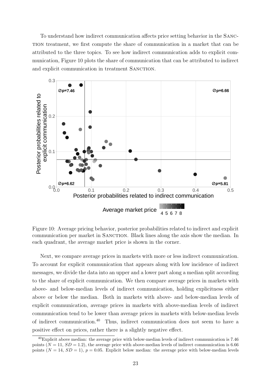To understand how indirect communication affects price setting behavior in the Sanction treatment, we first compute the share of communication in a market that can be attributed to the three topics. To see how indirect communication adds to explicit communication, Figure [10](#page-24-0) plots the share of communication that can be attributed to indirect and explicit communication in treatment SANCTION.

<span id="page-24-0"></span>

Figure 10: Average pricing behavior, posterior probabilities related to indirect and explicit communication per market in SANCTION. Black lines along the axis show the median. In each quadrant, the average market price is shown in the corner.

Next, we compare average prices in markets with more or less indirect communication. To account for explicit communication that appears along with low incidence of indirect messages, we divide the data into an upper and a lower part along a median split according to the share of explicit communication. We then compare average prices in markets with above- and below-median levels of indirect communication, holding explicitness either above or below the median. Both in markets with above- and below-median levels of explicit communication, average prices in markets with above-median levels of indirect communication tend to be lower than average prices in markets with below-median levels of indirect communication.[40](#page-2-0) Thus, indirect communication does not seem to have a positive effect on prices, rather there is a slightly negative effect.

<sup>40</sup>Explicit above median: the average price with below-median levels of indirect communication is 7.46 points  $(N = 11, SD = 1.2)$ , the average price with above-median levels of indirect communication is 6.66 points  $(N = 14, SD = 1)$ ,  $p = 0.05$ . Explicit below median: the average price with below-median levels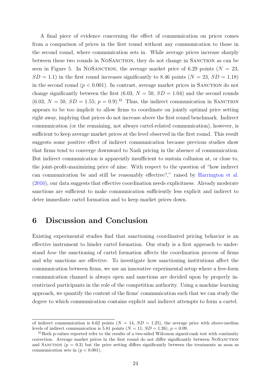A final piece of evidence concerning the effect of communication on prices comes from a comparison of prices in the first round without any communication to those in the second round, where communication sets in. While average prices increase sharply between these two rounds in NoSanction, they do not change in Sanction as can be seen in Figure [5.](#page-17-0) In NOSANCTION, the average market price of 6.29 points ( $N = 23$ ,  $SD = 1.1$ ) in the first round increases significantly to 8.46 points ( $N = 23$ ,  $SD = 1.18$ ) in the second round  $(p < 0.001)$ . In contrast, average market prices in SANCTION do not change significantly between the first  $(6.03, N = 50, SD = 1.04)$  and the second rounds  $(6.03, N = 50, SD = 1.55; p = 0.9).$ <sup>[41](#page-2-0)</sup> Thus, the indirect communication in SANCTION appears to be too implicit to allow firms to coordinate on jointly optimal price setting right away, implying that prices do not increase above the first round benchmark. Indirect communication (or the remaining, not always cartel-related communication), however, is sufficient to keep average market prices at the level observed in the first round. This result suggests some positive effect of indirect communication because previous studies show that firms tend to converge downward to Nash pricing in the absence of communication. But indirect communication is apparently insufficient to sustain collusion at, or close to, the joint-profit-maximizing price of nine. With respect to the question of "how indirect can communication be and still be reasonably effective?," raised by [Harrington et al.](#page-30-0) [\(2016\)](#page-30-0), our data suggests that effective coordination needs explicitness. Already moderate sanctions are sufficient to make communication sufficiently less explicit and indirect to deter immediate cartel formation and to keep market prices down.

### <span id="page-25-0"></span>6 Discussion and Conclusion

Existing experimental studies find that sanctioning coordinated pricing behavior is an effective instrument to hinder cartel formation. Our study is a first approach to understand how the sanctioning of cartel formation affects the coordination process of firms and why sanctions are effective. To investigate how sanctioning institutions affect the communication between firms, we use an innovative experimental setup where a free-form communication channel is always open and sanctions are decided upon by properly incentivized participants in the role of the competition authority. Using a machine learning approach, we quantify the content of the firms' communication such that we can study the degree to which communication contains explicit and indirect attempts to form a cartel.

of indirect communication is 6.62 points ( $N = 14$ ,  $SD = 1.25$ ), the average price with above-median levels of indirect communication is 5.81 points  $(N = 11, SD = 1.26), p = 0.09$ .

<sup>&</sup>lt;sup>41</sup>Both p-values reported refer to the results of a two-sided Wilcoxon signed-rank test with continuity correction. Average market prices in the first round do not differ significantly between NoSanction and SANCTION ( $p = 0.3$ ) but the price setting differs significantly between the treatments as soon as communication sets in  $(p < 0.001)$ .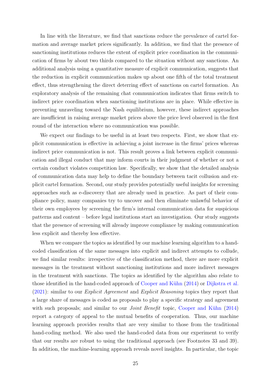In line with the literature, we find that sanctions reduce the prevalence of cartel formation and average market prices significantly. In addition, we find that the presence of sanctioning institutions reduces the extent of explicit price coordination in the communication of firms by about two thirds compared to the situation without any sanctions. An additional analysis using a quantitative measure of explicit communication, suggests that the reduction in explicit communication makes up about one fifth of the total treatment effect, thus strengthening the direct deterring effect of sanctions on cartel formation. An exploratory analysis of the remaining chat communication indicates that firms switch to indirect price coordination when sanctioning institutions are in place. While effective in preventing unraveling toward the Nash equilibrium, however, these indirect approaches are insufficient in raising average market prices above the price level observed in the first round of the interaction where no communication was possible.

We expect our findings to be useful in at least two respects. First, we show that explicit communication is effective in achieving a joint increase in the firms' prices whereas indirect price communication is not. This result proves a link between explicit communication and illegal conduct that may inform courts in their judgment of whether or not a certain conduct violates competition law. Specifically, we show that the detailed analysis of communication data may help to define the boundary between tacit collusion and explicit cartel formation. Second, our study provides potentially useful insights for screening approaches such as e-discovery that are already used in practice. As part of their compliance policy, many companies try to uncover and then eliminate unlawful behavior of their own employees by screening the firm's internal communication data for suspicious patterns and content – before legal institutions start an investigation. Our study suggests that the presence of screening will already improve compliance by making communication less explicit and thereby less effective.

When we compare the topics as identified by our machine learning algorithm to a handcoded classification of the same messages into explicit and indirect attempts to collude, we find similar results: irrespective of the classification method, there are more explicit messages in the treatment without sanctioning institutions and more indirect messages in the treatment with sanctions. The topics as identified by the algorithm also relate to those identified in the hand-coded approach of Cooper and Kühn [\(2014\)](#page-28-5) or [Dijkstra et al.](#page-29-5)  $(2021)$ : similar to our *Explicit Agreement* and *Explicit Reasoning* topics they report that a large share of messages is coded as proposals to play a specific strategy and agreement with such proposals; and similar to our *Joint Benefit* topic, Cooper and Kühn  $(2014)$ report a category of appeal to the mutual benefits of cooperation. Thus, our machine learning approach provides results that are very similar to those from the traditional hand-coding method. We also used the hand-coded data from our experiment to verify that our results are robust to using the traditional approach (see Footnotes [33](#page-18-1) and [39\)](#page-23-0). In addition, the machine-learning approach reveals novel insights. In particular, the topic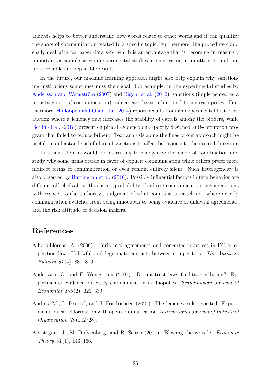analysis helps to better understand how words relate to other words and it can quantify the share of communication related to a specific topic. Furthermore, the procedure could easily deal with far larger data sets, which is an advantage that is becoming increasingly important as sample sizes in experimental studies are increasing in an attempt to obtain more reliable and replicable results.

In the future, our machine learning approach might also help explain why sanctioning institutions sometimes miss their goal. For example, in the experimental studies by Andersson and Wengström  $(2007)$  and [Bigoni et al.](#page-28-2)  $(2012)$ , sanctions (implemented as a monetary cost of communication) reduce cartelization but tend to increase prices. Furthermore, [Hinloopen and Onderstal](#page-30-13) [\(2014\)](#page-30-13) report results from an experimental first price auction where a leniency rule increases the stability of cartels among the bidders, while [Berlin et al.](#page-28-12) [\(2018\)](#page-28-12) present empirical evidence on a poorly designed anti-corruption program that failed to reduce bribery. Text analysis along the lines of our approach might be useful to understand such failure of sanctions to affect behavior into the desired direction.

In a next step, it would be interesting to endogenize the mode of coordination and study why some firms decide in favor of explicit communication while others prefer more indirect forms of communication or even remain entirely silent. Such heterogeneity is also observed by [Harrington et al.](#page-30-0) [\(2016\)](#page-30-0). Possibly influential factors in firm behavior are differential beliefs about the success probability of indirect communication, misperceptions with respect to the authority's judgment of what counts as a cartel, i.e., where exactly communication switches from being innocuous to being evidence of unlawful agreements, and the risk attitude of decision makers.

### References

- <span id="page-27-3"></span>Albors-Llorens, A. (2006). Horizontal agreements and concerted practices in EC competition law: Unlawful and legitimate contacts between competitors. The Antitrust Bulletin 51 (4), 837–876.
- <span id="page-27-2"></span>Andersson, O. and E. Wengström (2007). Do antitrust laws facilitate collusion? Experimental evidence on costly communication in duopolies. Scandinavian Journal of Economics 109 (2), 321–339.
- <span id="page-27-1"></span>Andres, M., L. Bruttel, and J. Friedrichsen (2021). The leniency rule revisited: Experiments on cartel formation with open communication. *International Journal of Industrial* Organization 76(102728).
- <span id="page-27-0"></span>Apesteguia, J., M. Dufwenberg, and R. Selten (2007). Blowing the whistle. Economic Theory  $31(1)$ , 143-166.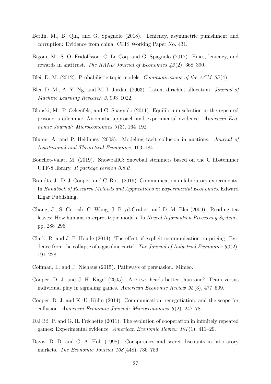- <span id="page-28-12"></span>Berlin, M., B. Qin, and G. Spagnolo (2018). Leniency, asymmetric punishment and corruption: Evidence from china. CEIS Working Paper No. 431.
- <span id="page-28-2"></span>Bigoni, M., S.-O. Fridolfsson, C. Le Coq, and G. Spagnolo (2012). Fines, leniency, and rewards in antitrust. The RAND Journal of Economics 43 (2), 368–390.
- <span id="page-28-11"></span>Blei, D. M. (2012). Probabilistic topic models. Communications of the ACM 55(4).
- <span id="page-28-1"></span>Blei, D. M., A. Y. Ng, and M. I. Jordan (2003). Latent dirichlet allocation. Journal of Machine Learning Research 3, 993–1022.
- <span id="page-28-13"></span>Blonski, M., P. Ockenfels, and G. Spagnolo (2011). Equilibrium selection in the repeated prisoner's dilemma: Axiomatic approach and experimental evidence. American Economic Journal: Microeconomics  $3(3)$ , 164-192.
- <span id="page-28-0"></span>Blume, A. and P. Heidhues (2008). Modeling tacit collusion in auctions. Journal of Institutional and Theoretical Economics, 163–184.
- <span id="page-28-9"></span>Bouchet-Valat, M. (2019). SnowballC: Snowball stemmers based on the C libstemmer UTF-8 library. R package version 0.6.0.
- <span id="page-28-8"></span>Brandts, J., D. J. Cooper, and C. Rott (2019). Communication in laboratory experiments. In Handbook of Research Methods and Applications in Experimental Economics. Edward Elgar Publishing.
- <span id="page-28-10"></span>Chang, J., S. Gerrish, C. Wang, J. Boyd-Graber, and D. M. Blei (2009). Reading tea leaves: How humans interpret topic models. In Neural Information Processing Systems, pp. 288–296.
- <span id="page-28-3"></span>Clark, R. and J.-F. Houde (2014). The effect of explicit communication on pricing: Evidence from the collapse of a gasoline cartel. The Journal of Industrial Economics  $62(2)$ , 191–228.
- <span id="page-28-7"></span>Coffman, L. and P. Niehaus (2015). Pathways of persuasion. Mimeo.
- <span id="page-28-6"></span>Cooper, D. J. and J. H. Kagel (2005). Are two heads better than one? Team versus individual play in signaling games. American Economic Review 95 (3), 477–509.
- <span id="page-28-5"></span>Cooper, D. J. and K.-U. K¨uhn (2014). Communication, renegotiation, and the scope for collusion. American Economic Journal: Microeconomics  $6(2)$ , 247–78.
- <span id="page-28-14"></span>Dal Bó, P. and G. R. Fréchette (2011). The evolution of cooperation in infinitely repeated games: Experimental evidence. American Economic Review 101 (1), 411–29.
- <span id="page-28-4"></span>Davis, D. D. and C. A. Holt (1998). Conspiracies and secret discounts in laboratory markets. The Economic Journal 108 (448), 736–756.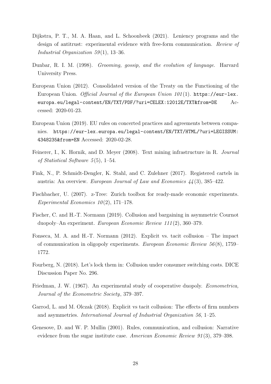- <span id="page-29-5"></span>Dijkstra, P. T., M. A. Haan, and L. Schoonbeek (2021). Leniency programs and the design of antitrust: experimental evidence with free-form communication. Review of Industrial Organization  $59(1)$ , 13-36.
- <span id="page-29-10"></span>Dunbar, R. I. M. (1998). Grooming, gossip, and the evolution of language. Harvard University Press.
- <span id="page-29-0"></span>European Union (2012). Consolidated version of the Treaty on the Functioning of the European Union. Official Journal of the European Union  $101(1)$ . [https://eur-lex.](https://eur-lex.europa.eu/legal-content/EN/TXT/PDF/?uri=CELEX:12012E/TXT&from=DE) [europa.eu/legal-content/EN/TXT/PDF/?uri=CELEX:12012E/TXT&from=DE](https://eur-lex.europa.eu/legal-content/EN/TXT/PDF/?uri=CELEX:12012E/TXT&from=DE) Accessed: 2020-01-23.
- <span id="page-29-12"></span>European Union (2019). EU rules on concerted practices and agreements between companies. [https://eur-lex.europa.eu/legal-content/EN/TXT/HTML/?uri=LEGISSUM:](https://eur-lex.europa.eu/legal-content/EN/TXT/HTML/?uri=LEGISSUM:4348235&from=EN) [4348235&from=EN](https://eur-lex.europa.eu/legal-content/EN/TXT/HTML/?uri=LEGISSUM:4348235&from=EN) Accessed: 2020-02-28.
- <span id="page-29-9"></span>Feinerer, I., K. Hornik, and D. Meyer (2008). Text mining infrastructure in R. Journal of Statistical Software  $5(5)$ , 1–54.
- <span id="page-29-1"></span>Fink, N., P. Schmidt-Dengler, K. Stahl, and C. Zulehner (2017). Registered cartels in austria: An overview. European Journal of Law and Economics 44 (3), 385–422.
- <span id="page-29-8"></span>Fischbacher, U. (2007). z-Tree: Zurich toolbox for ready-made economic experiments. Experimental Economics  $10(2)$ , 171–178.
- <span id="page-29-11"></span>Fischer, C. and H.-T. Normann (2019). Collusion and bargaining in asymmetric Cournot duopoly–An experiment. European Economic Review 111 (2), 360–379.
- <span id="page-29-6"></span>Fonseca, M. A. and H.-T. Normann (2012). Explicit vs. tacit collusion – The impact of communication in oligopoly experiments. European Economic Review  $56(8)$ , 1759– 1772.
- <span id="page-29-3"></span>Fourberg, N. (2018). Let's lock them in: Collusion under consumer switching costs. DICE Discussion Paper No. 296.
- <span id="page-29-4"></span>Friedman, J. W. (1967). An experimental study of cooperative duopoly. Econometrica, Journal of the Econometric Society, 379–397.
- <span id="page-29-7"></span>Garrod, L. and M. Olczak (2018). Explicit vs tacit collusion: The effects of firm numbers and asymmetries. International Journal of Industrial Organization 56, 1–25.
- <span id="page-29-2"></span>Genesove, D. and W. P. Mullin (2001). Rules, communication, and collusion: Narrative evidence from the sugar institute case. American Economic Review 91 (3), 379–398.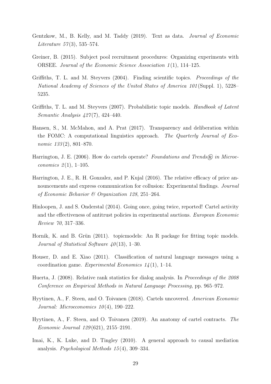- <span id="page-30-6"></span>Gentzkow, M., B. Kelly, and M. Taddy (2019). Text as data. Journal of Economic *Literature* 57(3), 535–574.
- <span id="page-30-7"></span>Greiner, B. (2015). Subject pool recruitment procedures: Organizing experiments with ORSEE. Journal of the Economic Science Association 1(1), 114–125.
- <span id="page-30-9"></span>Griffiths, T. L. and M. Steyvers (2004). Finding scientific topics. Proceedings of the National Academy of Sciences of the United States of America 101 (Suppl. 1), 5228– 5235.
- <span id="page-30-10"></span>Griffiths, T. L. and M. Steyvers (2007). Probabilistic topic models. *Handbook of Latent* Semantic Analysis 427 (7), 424–440.
- <span id="page-30-5"></span>Hansen, S., M. McMahon, and A. Prat (2017). Transparency and deliberation within the FOMC: A computational linguistics approach. The Quarterly Journal of Economic  $133(2)$ , 801–870.
- <span id="page-30-1"></span>Harrington, J. E. (2006). How do cartels operate? Foundations and Trends $\mathcal{R}$  in Microeconomics  $2(1)$ , 1-105.
- <span id="page-30-0"></span>Harrington, J. E., R. H. Gonzalez, and P. Kujal (2016). The relative efficacy of price announcements and express communication for collusion: Experimental findings. Journal of Economic Behavior & Organization 128, 251–264.
- <span id="page-30-13"></span>Hinloopen, J. and S. Onderstal (2014). Going once, going twice, reported! Cartel activity and the effectiveness of antitrust policies in experimental auctions. European Economic Review 70, 317–336.
- <span id="page-30-11"></span>Hornik, K. and B. Grün (2011). topicmodels: An R package for fitting topic models. Journal of Statistical Software  $40(13)$ , 1–30.
- <span id="page-30-8"></span>Houser, D. and E. Xiao (2011). Classification of natural language messages using a coordination game. Experimental Economics  $1/4(1)$ , 1–14.
- <span id="page-30-4"></span>Huerta, J. (2008). Relative rank statistics for dialog analysis. In Proceedings of the 2008 Conference on Empirical Methods in Natural Language Processing, pp. 965–972.
- <span id="page-30-2"></span>Hyytinen, A., F. Steen, and O. Toivanen (2018). Cartels uncovered. American Economic Journal: Microeconomics  $10(4)$ , 190-222.
- <span id="page-30-3"></span>Hyytinen, A., F. Steen, and O. Toivanen (2019). An anatomy of cartel contracts. The Economic Journal 129 (621), 2155–2191.
- <span id="page-30-12"></span>Imai, K., K. Luke, and D. Tingley (2010). A general approach to causal mediation analysis. Psychological Methods 15 (4), 309–334.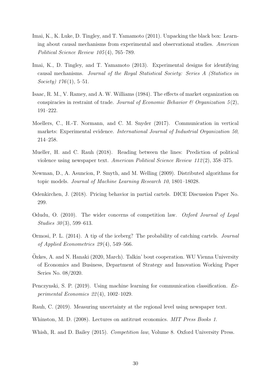- <span id="page-31-10"></span>Imai, K., K. Luke, D. Tingley, and T. Yamamoto (2011). Unpacking the black box: Learning about causal mechanisms from experimental and observational studies. American Political Science Review 105 (4), 765–789.
- <span id="page-31-11"></span>Imai, K., D. Tingley, and T. Yamamoto (2013). Experimental designs for identifying causal mechanisms. Journal of the Royal Statistical Society: Series A (Statistics in Society)  $176(1)$ , 5-51.
- <span id="page-31-4"></span>Isaac, R. M., V. Ramey, and A. W. Williams (1984). The effects of market organization on conspiracies in restraint of trade. Journal of Economic Behavior  $\mathcal{B}$  Organization 5(2), 191–222.
- <span id="page-31-2"></span>Moellers, C., H.-T. Normann, and C. M. Snyder (2017). Communication in vertical markets: Experimental evidence. International Journal of Industrial Organization 50, 214–258.
- <span id="page-31-6"></span>Mueller, H. and C. Rauh (2018). Reading between the lines: Prediction of political violence using newspaper text. American Political Science Review 112 (2), 358–375.
- <span id="page-31-9"></span>Newman, D., A. Asuncion, P. Smyth, and M. Welling (2009). Distributed algorithms for topic models. Journal of Machine Learning Research 10, 1801–18028.
- <span id="page-31-3"></span>Odenkirchen, J. (2018). Pricing behavior in partial cartels. DICE Discussion Paper No. 299.
- <span id="page-31-12"></span>Odudu, O. (2010). The wider concerns of competition law. Oxford Journal of Legal Studies 30(3), 599-613.
- <span id="page-31-7"></span>Ormosi, P. L. (2014). A tip of the iceberg? The probability of catching cartels. Journal of Applied Econometrics 29 (4), 549–566.
- <span id="page-31-1"></span>Ozkes, A. and N. Hanaki (2020, March). Talkin' bout cooperation. WU Vienna University ¨ of Economics and Business, Department of Strategy and Innovation Working Paper Series No. 08/2020.
- <span id="page-31-8"></span>Penczynski, S. P. (2019). Using machine learning for communication classification. Experimental Economics 22 (4), 1002–1029.
- <span id="page-31-5"></span>Rauh, C. (2019). Measuring uncertainty at the regional level using newspaper text.
- <span id="page-31-0"></span>Whinston, M. D. (2008). Lectures on antitrust economics. *MIT Press Books 1*.
- <span id="page-31-13"></span>Whish, R. and D. Bailey (2015). *Competition law*, Volume 8. Oxford University Press.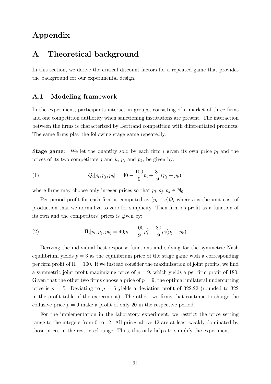### Appendix

### <span id="page-32-0"></span>A Theoretical background

In this section, we derive the critical discount factors for a repeated game that provides the background for our experimental design.

### A.1 Modeling framework

In the experiment, participants interact in groups, consisting of a market of three firms and one competition authority when sanctioning institutions are present. The interaction between the firms is characterized by Bertrand competition with differentiated products. The same firms play the following stage game repeatedly.

**Stage game:** We let the quantity sold by each firm i given its own price  $p_i$  and the prices of its two competitors j and k,  $p_j$  and  $p_k$ , be given by:

(1) 
$$
Q_i[p_i, p_j, p_k] = 40 - \frac{100}{9}p_i + \frac{80}{9}(p_j + p_k),
$$

where firms may choose only integer prices so that  $p_i, p_j, p_k \in \mathbb{N}_0$ .

Per period profit for each firm is computed as  $(p_i - c)Q_i$  where c is the unit cost of production that we normalize to zero for simplicity. Then firm i's profit as a function of its own and the competitors' prices is given by:

(2) 
$$
\Pi_i[p_i, p_j, p_k] = 40p_i - \frac{100}{9}p_i^2 + \frac{80}{9}p_i(p_j + p_k)
$$

Deriving the individual best-response functions and solving for the symmetric Nash equilibrium yields  $p = 3$  as the equilibrium price of the stage game with a corresponding per firm profit of  $\Pi = 100$ . If we instead consider the maximization of joint profits, we find a symmetric joint profit maximizing price of  $p = 9$ , which yields a per firm profit of 180. Given that the other two firms choose a price of  $p = 9$ , the optimal unilateral undercutting price is  $p = 5$ . Deviating to  $p = 5$  yields a deviation profit of 322.22 (rounded to 322) in the profit table of the experiment). The other two firms that continue to charge the collusive price  $p = 9$  make a profit of only 20 in the respective period.

For the implementation in the laboratory experiment, we restrict the price setting range to the integers from 0 to 12. All prices above 12 are at least weakly dominated by those prices in the restricted range. Thus, this only helps to simplify the experiment.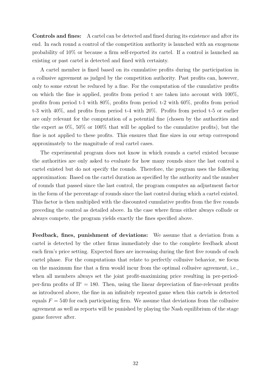Controls and fines: A cartel can be detected and fined during its existence and after its end. In each round a control of the competition authority is launched with an exogenous probability of 10% or because a firm self-reported its cartel. If a control is launched an existing or past cartel is detected and fined with certainty.

A cartel member is fined based on its cumulative profits during the participation in a collusive agreement as judged by the competition authority. Past profits can, however, only to some extent be reduced by a fine. For the computation of the cumulative profits on which the fine is applied, profits from period t are taken into account with 100%, profits from period t-1 with 80%, profits from period t-2 with 60%, profits from period t-3 with 40%, and profits from period t-4 with 20%. Profits from period t-5 or earlier are only relevant for the computation of a potential fine (chosen by the authorities and the expert as 0%, 50% or 100% that will be applied to the cumulative profits), but the fine is not applied to these profits. This ensures that fine sizes in our setup correspond approximately to the magnitude of real cartel cases.

The experimental program does not know in which rounds a cartel existed because the authorities are only asked to evaluate for how many rounds since the last control a cartel existed but do not specify the rounds. Therefore, the program uses the following approximation: Based on the cartel duration as specified by the authority and the number of rounds that passed since the last control, the program computes an adjustment factor in the form of the percentage of rounds since the last control during which a cartel existed. This factor is then multiplied with the discounted cumulative profits from the five rounds preceding the control as detailed above. In the case where firms either always collude or always compete, the program yields exactly the fines specified above.

Feedback, fines, punishment of deviations: We assume that a deviation from a cartel is detected by the other firms immediately due to the complete feedback about each firm's price setting. Expected fines are increasing during the first five rounds of each cartel phase. For the computations that relate to perfectly collusive behavior, we focus on the maximum fine that a firm would incur from the optimal collusive agreement, i.e., when all members always set the joint profit-maximizing price resulting in per-periodper-firm profits of  $\Pi^c = 180$ . Then, using the linear depreciation of fine-relevant profits as introduced above, the fine in an infinitely repeated game when this cartels is detected equals  $F = 540$  for each participating firm. We assume that deviations from the collusive agreement as well as reports will be punished by playing the Nash equilibrium of the stage game forever after.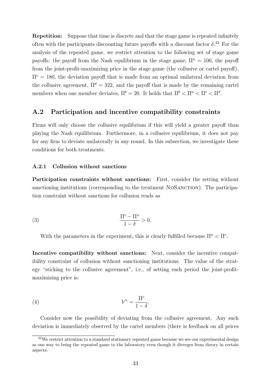Repetition: Suppose that time is discrete and that the stage game is repeated infinitely often with the participants discounting future payoffs with a discount factor  $\delta$ .<sup>[42](#page-2-0)</sup> For the analysis of the repeated game, we restrict attention to the following set of stage game payoffs: the payoff from the Nash equilibrium in the stage game,  $\Pi^n = 100$ , the payoff from the joint-profit-maximizing price in the stage game (the collusive or cartel payoff),  $\Pi^c = 180$ , the deviation payoff that is made from an optimal unilateral deviation from the collusive agreement,  $\Pi^d = 322$ , and the payoff that is made by the remaining cartel members when one member deviates,  $\Pi^b = 20$ . It holds that  $\Pi^b < \Pi^a < \Pi^c < \Pi^d$ .

### A.2 Participation and incentive compatibility constraints

Firms will only choose the collusive equilibrium if this will yield a greater payoff than playing the Nash equilibrium. Furthermore, in a collusive equilibrium, it does not pay for any firm to deviate unilaterally in any round. In this subsection, we investigate these conditions for both treatments.

#### A.2.1 Collusion without sanctions

Participation constraints without sanctions: First, consider the setting without sanctioning institutions (corresponding to the treatment NOSANCTION). The participation constraint without sanctions for collusion reads as

$$
\frac{\Pi^c - \Pi^n}{1 - \delta} > 0.
$$

With the parameters in the experiment, this is clearly fulfilled because  $\Pi^n < \Pi^c$ .

Incentive compatibility without sanctions: Next, consider the incentive compatibility constraint of collusion without sanctioning institutions. The value of the strategy "sticking to the collusive agreement", i.e., of setting each period the joint-profitmaximizing price is:

$$
(4) \t Vc = \frac{\Pic}{1 - \delta}.
$$

Consider now the possibility of deviating from the collusive agreement. Any such deviation is immediately observed by the cartel members (there is feedback on all prices

<sup>&</sup>lt;sup>42</sup>We restrict attention to a standard stationary repeated game because we see our experimental design as one way to bring the repeated game to the laboratory even though it diverges from theory in certain aspects.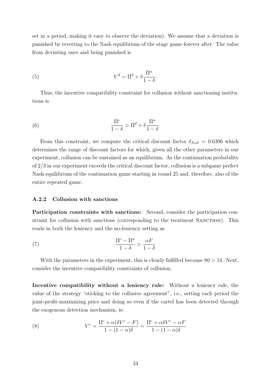set in a period, making it easy to observe the deviation). We assume that a deviation is punished by reverting to the Nash equilibrium of the stage game forever after. The value from deviating once and being punished is

(5) 
$$
V^d = \Pi^d + \delta \frac{\Pi^n}{1 - \delta}.
$$

Thus, the incentive compatibility constraint for collusion without sanctioning institutions is

(6) 
$$
\frac{\Pi^c}{1-\delta} > \Pi^d + \delta \frac{\Pi^n}{1-\delta}.
$$

From this constraint, we compute the critical discount factor  $\delta_{N_oS} = 0.6396$  which determines the range of discount factors for which, given all the other parameters in our experiment, collusion can be sustained as an equilibrium. As the continuation probability of 2/3 in our experiment exceeds the critical discount factor, collusion is a subgame perfect Nash equilibrium of the continuation game starting in round 25 and, therefore, also of the entire repeated game.

#### A.2.2 Collusion with sanctions

Participation constraints with sanctions: Second, consider the participation constraint for collusion with sanctions (corresponding to the treatment SANCTION). This reads in both the leniency and the no-leniency setting as

(7) 
$$
\frac{\Pi^c - \Pi^n}{1 - \delta} > \frac{\alpha F}{1 - \delta}
$$

With the parameters in the experiment, this is clearly fulfilled because  $80 > 54$ . Next, consider the incentive compatibility constraints of collusion.

Incentive compatibility without a leniency rule: Without a leniency rule, the value of the strategy "sticking to the collusive agreement", i.e., setting each period the joint-profit-maximizing price and doing so even if the cartel has been detected through the exogenous detection mechanism, is:

(8) 
$$
V^{c} = \frac{\Pi^{c} + \alpha(\delta V^{c} - F)}{1 - (1 - \alpha)\delta} = \frac{\Pi^{c} + \alpha\delta V^{c} - \alpha F}{1 - (1 - \alpha)\delta}
$$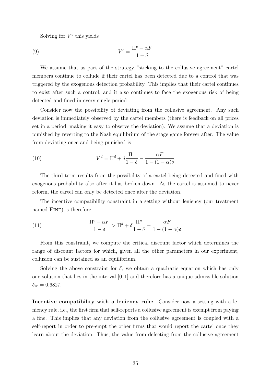Solving for  $V^c$  this yields

(9) 
$$
V^c = \frac{\Pi^c - \alpha F}{1 - \delta}
$$

We assume that as part of the strategy "sticking to the collusive agreement" cartel members continue to collude if their cartel has been detected due to a control that was triggered by the exogenous detection probability. This implies that their cartel continues to exist after such a control; and it also continues to face the exogenous risk of being detected and fined in every single period.

Consider now the possibility of deviating from the collusive agreement. Any such deviation is immediately observed by the cartel members (there is feedback on all prices set in a period, making it easy to observe the deviation). We assume that a deviation is punished by reverting to the Nash equilibrium of the stage game forever after. The value from deviating once and being punished is

(10) 
$$
V^d = \Pi^d + \delta \frac{\Pi^n}{1 - \delta} - \frac{\alpha F}{1 - (1 - \alpha)\delta}
$$

The third term results from the possibility of a cartel being detected and fined with exogenous probability also after it has broken down. As the cartel is assumed to never reform, the cartel can only be detected once after the deviation.

The incentive compatibility constraint in a setting without leniency (our treatment named FINE) is therefore

<span id="page-36-0"></span>(11) 
$$
\frac{\Pi^c - \alpha F}{1 - \delta} > \Pi^d + \delta \frac{\Pi^n}{1 - \delta} - \frac{\alpha F}{1 - (1 - \alpha)\delta}
$$

From this constraint, we compute the critical discount factor which determines the range of discount factors for which, given all the other parameters in our experiment, collusion can be sustained as an equilibrium.

Solving the above constraint for  $\delta$ , we obtain a quadratic equation which has only one solution that lies in the interval [0, 1] and therefore has a unique admissible solution  $\delta_N = 0.6827$ .

Incentive compatibility with a leniency rule: Consider now a setting with a leniency rule, i.e., the first firm that self-reports a collusive agreement is exempt from paying a fine. This implies that any deviation from the collusive agreement is coupled with a self-report in order to pre-empt the other firms that would report the cartel once they learn about the deviation. Thus, the value from defecting from the collusive agreement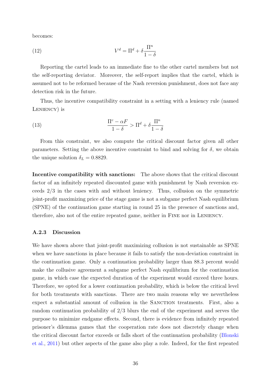becomes:

(12) 
$$
V^d = \Pi^d + \delta \frac{\Pi^n}{1 - \delta}
$$

Reporting the cartel leads to an immediate fine to the other cartel members but not the self-reporting deviator. Moreover, the self-report implies that the cartel, which is assumed not to be reformed because of the Nash reversion punishment, does not face any detection risk in the future.

Thus, the incentive compatibility constraint in a setting with a leniency rule (named LENIENCY) is

<span id="page-37-1"></span>(13) 
$$
\frac{\Pi^c - \alpha F}{1 - \delta} > \Pi^d + \delta \frac{\Pi^n}{1 - \delta}
$$

From this constraint, we also compute the critical discount factor given all other parameters. Setting the above incentive constraint to bind and solving for  $\delta$ , we obtain the unique solution  $\delta_L = 0.8829$ .

Incentive compatibility with sanctions: The above shows that the critical discount factor of an infinitely repeated discounted game with punishment by Nash reversion exceeds 2/3 in the cases with and without leniency. Thus, collusion on the symmetric joint-profit maximizing price of the stage game is not a subgame perfect Nash equilibrium (SPNE) of the continuation game starting in round 25 in the presence of sanctions and, therefore, also not of the entire repeated game, neither in FINE nor in LENIENCY.

#### <span id="page-37-0"></span>A.2.3 Discussion

We have shown above that joint-profit maximizing collusion is not sustainable as SPNE when we have sanctions in place because it fails to satisfy the non-deviation constraint in the continuation game. Only a continuation probability larger than 88.3 percent would make the collusive agreement a subgame perfect Nash equilibrium for the continuation game, in which case the expected duration of the experiment would exceed three hours. Therefore, we opted for a lower continuation probability, which is below the critical level for both treatments with sanctions. There are two main reasons why we nevertheless expect a substantial amount of collusion in the SANCTION treatments. First, also a random continuation probability of 2/3 blurs the end of the experiment and serves the purpose to minimize endgame effects. Second, there is evidence from infinitely repeated prisoner's dilemma games that the cooperation rate does not discretely change when the critical discount factor exceeds or falls short of the continuation probability [\(Blonski](#page-28-13) [et al.,](#page-28-13) [2011\)](#page-28-13) but other aspects of the game also play a role. Indeed, for the first repeated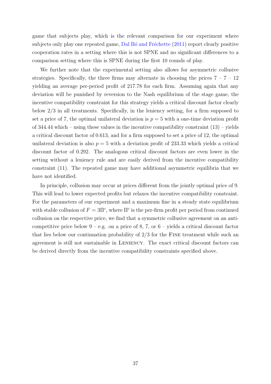game that subjects play, which is the relevant comparison for our experiment where subjects only play one repeated game, Dal B<sup>o</sup> and Fréchette [\(2011\)](#page-28-14) report clearly positive cooperation rates in a setting where this is not SPNE and no significant differences to a comparison setting where this is SPNE during the first 10 rounds of play.

We further note that the experimental setting also allows for asymmetric collusive strategies. Specifically, the three firms may alternate in choosing the prices  $7 - 7 - 12$ yielding an average per-period profit of 217.78 for each firm. Assuming again that any deviation will be punished by reversion to the Nash equilibrium of the stage game, the incentive compatibility constraint for this strategy yields a critical discount factor clearly below 2/3 in all treatments. Specifically, in the leniency setting, for a firm supposed to set a price of 7, the optimal unilateral deviation is  $p = 5$  with a one-time deviation profit of  $344.44$  which – using these values in the incentive compatibility constraint  $(13)$  – yields a critical discount factor of 0.613, and for a firm supposed to set a price of 12, the optimal unilateral deviation is also  $p = 5$  with a deviation profit of 233.33 which yields a critical discount factor of 0.292. The analogous critical discount factors are even lower in the setting without a leniency rule and are easily derived from the incentive compatibility constraint [\(11\)](#page-36-0). The repeated game may have additional asymmetric equilibria that we have not identified.

In principle, collusion may occur at prices different from the jointly optimal price of 9. This will lead to lower expected profits but relaxes the incentive compatibility constraint. For the parameters of our experiment and a maximum fine in a steady state equilibrium with stable collusion of  $F = 3\Pi^c$ , where  $\Pi^c$  is the per-firm profit per period from continued collusion on the respective price, we find that a symmetric collusive agreement on an anticompetitive price below  $9 - e.g.$  on a price of 8, 7, or  $6 -$  yields a critical discount factor that lies below our continuation probability of 2/3 for the Fine treatment while such an agreement is still not sustainable in LENIENCY. The exact critical discount factors can be derived directly from the incentive compatibility constraints specified above.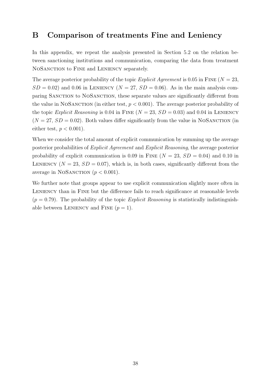### <span id="page-39-0"></span>B Comparison of treatments Fine and Leniency

In this appendix, we repeat the analysis presented in Section [5.2](#page-18-1) on the relation between sanctioning institutions and communication, comparing the data from treatment NOSANCTION to FINE and LENIENCY separately.

The average posterior probability of the topic *Explicit Agreement* is 0.05 in FINE ( $N = 23$ ,  $SD = 0.02$ ) and 0.06 in LENIENCY ( $N = 27$ ,  $SD = 0.06$ ). As in the main analysis comparing SANCTION to NOSANCTION, these separate values are significantly different from the value in NOSANCTION (in either test,  $p < 0.001$ ). The average posterior probability of the topic Explicit Reasoning is 0.04 in FINE  $(N = 23, SD = 0.03)$  and 0.04 in LENIENCY  $(N = 27, SD = 0.02)$ . Both values differ significantly from the value in NOSANCTION (in either test,  $p < 0.001$ ).

When we consider the total amount of explicit communication by summing up the average posterior probabilities of Explicit Agreement and Explicit Reasoning, the average posterior probability of explicit communication is 0.09 in FINE ( $N = 23$ ,  $SD = 0.04$ ) and 0.10 in LENIENCY  $(N = 23, SD = 0.07)$ , which is, in both cases, significantly different from the average in NOSANCTION  $(p < 0.001)$ .

We further note that groups appear to use explicit communication slightly more often in LENIENCY than in FINE but the difference fails to reach significance at reasonable levels  $(p = 0.79)$ . The probability of the topic *Explicit Reasoning* is statistically indistinguishable between LENIENCY and FINE  $(p = 1)$ .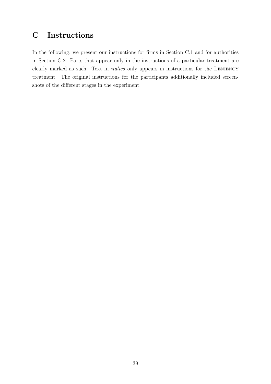# <span id="page-40-0"></span>C Instructions

In the following, we present our instructions for firms in Section [C.1](#page-41-0) and for authorities in Section [C.2.](#page-46-0) Parts that appear only in the instructions of a particular treatment are clearly marked as such. Text in *italics* only appears in instructions for the LENIENCY treatment. The original instructions for the participants additionally included screenshots of the different stages in the experiment.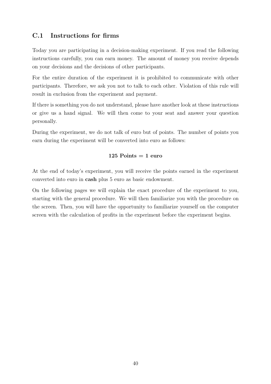### <span id="page-41-0"></span>C.1 Instructions for firms

Today you are participating in a decision-making experiment. If you read the following instructions carefully, you can earn money. The amount of money you receive depends on your decisions and the decisions of other participants.

For the entire duration of the experiment it is prohibited to communicate with other participants. Therefore, we ask you not to talk to each other. Violation of this rule will result in exclusion from the experiment and payment.

If there is something you do not understand, please have another look at these instructions or give us a hand signal. We will then come to your seat and answer your question personally.

During the experiment, we do not talk of euro but of points. The number of points you earn during the experiment will be converted into euro as follows:

### $125$  Points  $= 1$  euro

At the end of today's experiment, you will receive the points earned in the experiment converted into euro in cash plus 5 euro as basic endowment.

On the following pages we will explain the exact procedure of the experiment to you, starting with the general procedure. We will then familiarize you with the procedure on the screen. Then, you will have the opportunity to familiarize yourself on the computer screen with the calculation of profits in the experiment before the experiment begins.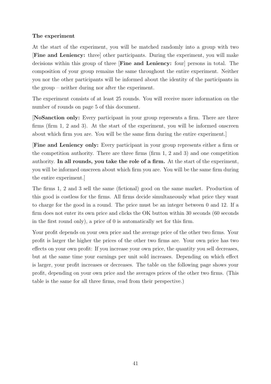#### The experiment

At the start of the experiment, you will be matched randomly into a group with two [Fine and Leniency: three] other participants. During the experiment, you will make decisions within this group of three [Fine and Leniency: four] persons in total. The composition of your group remains the same throughout the entire experiment. Neither you nor the other participants will be informed about the identity of the participants in the group – neither during nor after the experiment.

The experiment consists of at least 25 rounds. You will receive more information on the number of rounds on page 5 of this document.

[NoSanction only: Every participant in your group represents a firm. There are three firms (firm 1, 2 and 3). At the start of the experiment, you will be informed onscreen about which firm you are. You will be the same firm during the entire experiment.]

[Fine and Leniency only: Every participant in your group represents either a firm or the competition authority. There are three firms (firm 1, 2 and 3) and one competition authority. In all rounds, you take the role of a firm. At the start of the experiment, you will be informed onscreen about which firm you are. You will be the same firm during the entire experiment.]

The firms 1, 2 and 3 sell the same (fictional) good on the same market. Production of this good is costless for the firms. All firms decide simultaneously what price they want to charge for the good in a round. The price must be an integer between 0 and 12. If a firm does not enter its own price and clicks the OK button within 30 seconds (60 seconds in the first round only), a price of 0 is automatically set for this firm.

Your profit depends on your own price and the average price of the other two firms. Your profit is larger the higher the prices of the other two firms are. Your own price has two effects on your own profit: If you increase your own price, the quantity you sell decreases, but at the same time your earnings per unit sold increases. Depending on which effect is larger, your profit increases or decreases. The table on the following page shows your profit, depending on your own price and the averages prices of the other two firms. (This table is the same for all three firms, read from their perspective.)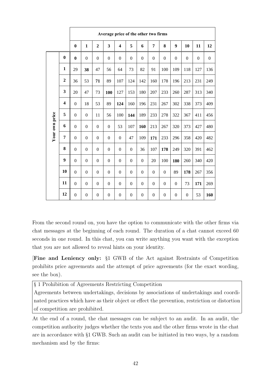|                |                  | Average price of the other two firms |                  |                  |                  |                         |                  |                  |                  |                  |                  |                  |                  |                  |
|----------------|------------------|--------------------------------------|------------------|------------------|------------------|-------------------------|------------------|------------------|------------------|------------------|------------------|------------------|------------------|------------------|
|                |                  | $\bf{0}$                             | $\mathbf{1}$     | $\boldsymbol{2}$ | 3                | $\overline{\mathbf{4}}$ | 5                | 6                | 7                | 8                | 9                | 10               | 11               | 12               |
|                | $\boldsymbol{0}$ | $\bf{0}$                             | $\boldsymbol{0}$ | $\boldsymbol{0}$ | $\boldsymbol{0}$ | $\boldsymbol{0}$        | $\boldsymbol{0}$ | $\boldsymbol{0}$ | $\boldsymbol{0}$ | $\boldsymbol{0}$ | $\boldsymbol{0}$ | $\boldsymbol{0}$ | $\boldsymbol{0}$ | $\boldsymbol{0}$ |
|                | 1                | 29                                   | 38               | 47               | 56               | 64                      | 73               | 82               | 91               | 100              | 109              | 118              | 127              | 136              |
|                | $\boldsymbol{2}$ | 36                                   | 53               | 71               | 89               | 107                     | 124              | 142              | 160              | 178              | 196              | 213              | 231              | 249              |
|                | 3                | 20                                   | 47               | 73               | 100              | 127                     | 153              | 180              | 207              | 233              | 260              | 287              | 313              | 340              |
|                | 4                | $\boldsymbol{0}$                     | 18               | 53               | 89               | 124                     | 160              | 196              | 231              | 267              | 302              | 338              | 373              | 409              |
|                | 5                | $\theta$                             | $\overline{0}$   | 11               | 56               | 100                     | 144              | 189              | 233              | 278              | 322              | 367              | 411              | 456              |
| Your own price | 6                | $\boldsymbol{0}$                     | $\boldsymbol{0}$ | $\overline{0}$   | $\boldsymbol{0}$ | 53                      | 107              | 160              | 213              | 267              | 320              | 373              | 427              | 480              |
|                | $\overline{7}$   | $\boldsymbol{0}$                     | $\boldsymbol{0}$ | $\boldsymbol{0}$ | $\boldsymbol{0}$ | $\boldsymbol{0}$        | 47               | 109              | 171              | 233              | 296              | 358              | 420              | 482              |
|                | 8                | $\overline{0}$                       | $\boldsymbol{0}$ | $\boldsymbol{0}$ | $\boldsymbol{0}$ | $\boldsymbol{0}$        | $\mathbf{0}$     | 36               | 107              | 178              | 249              | 320              | 391              | 462              |
|                | 9                | $\boldsymbol{0}$                     | $\boldsymbol{0}$ | $\overline{0}$   | $\boldsymbol{0}$ | $\boldsymbol{0}$        | $\boldsymbol{0}$ | $\overline{0}$   | 20               | 100              | 180              | 260              | 340              | 420              |
|                | 10               | $\Omega$                             | $\boldsymbol{0}$ | $\overline{0}$   | $\boldsymbol{0}$ | $\overline{0}$          | $\boldsymbol{0}$ | $\overline{0}$   | $\boldsymbol{0}$ | $\overline{0}$   | 89               | 178              | 267              | 356              |
|                | 11               | $\boldsymbol{0}$                     | $\boldsymbol{0}$ | $\boldsymbol{0}$ | $\boldsymbol{0}$ | $\boldsymbol{0}$        | $\boldsymbol{0}$ | $\boldsymbol{0}$ | $\boldsymbol{0}$ | $\boldsymbol{0}$ | $\boldsymbol{0}$ | 73               | 171              | 269              |
|                | 12               | $\overline{0}$                       | $\boldsymbol{0}$ | $\boldsymbol{0}$ | $\boldsymbol{0}$ | $\boldsymbol{0}$        | $\overline{0}$   | $\boldsymbol{0}$ | $\boldsymbol{0}$ | $\boldsymbol{0}$ | $\boldsymbol{0}$ | $\boldsymbol{0}$ | 53               | 160              |

From the second round on, you have the option to communicate with the other firms via chat messages at the beginning of each round. The duration of a chat cannot exceed 60 seconds in one round. In this chat, you can write anything you want with the exception that you are not allowed to reveal hints on your identity.

[Fine and Leniency only: §1 GWB of the Act against Restraints of Competition prohibits price agreements and the attempt of price agreements (for the exact wording, see the box).

§ 1 Prohibition of Agreements Restricting Competition

Agreements between undertakings, decisions by associations of undertakings and coordinated practices which have as their object or effect the prevention, restriction or distortion of competition are prohibited.

At the end of a round, the chat messages can be subject to an audit. In an audit, the competition authority judges whether the texts you and the other firms wrote in the chat are in accordance with §1 GWB. Such an audit can be initiated in two ways, by a random mechanism and by the firms: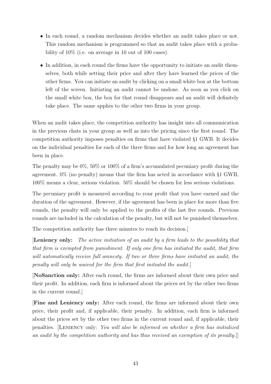- In each round, a random mechanism decides whether an audit takes place or not. This random mechanism is programmed so that an audit takes place with a probability of 10% (i.e. on average in 10 out of 100 cases).
- In addition, in each round the firms have the opportunity to initiate an audit themselves, both while setting their price and after they have learned the prices of the other firms. You can initiate an audit by clicking on a small white box at the bottom left of the screen. Initiating an audit cannot be undone. As soon as you click on the small white box, the box for that round disappears and an audit will definitely take place. The same applies to the other two firms in your group.

When an audit takes place, the competition authority has insight into all communication in the previous chats in your group as well as into the pricing since the first round. The competition authority imposes penalties on firms that have violated §1 GWB. It decides on the individual penalties for each of the three firms and for how long an agreement has been in place.

The penalty may be 0%, 50% or 100% of a firm's accumulated pecuniary profit during the agreement. 0% (no penalty) means that the firm has acted in accordance with §1 GWB, 100% means a clear, serious violation. 50% should be chosen for less serious violations.

The pecuniary profit is measured according to your profit that you have earned and the duration of the agreement. However, if the agreement has been in place for more than five rounds, the penalty will only be applied to the profits of the last five rounds. Previous rounds are included in the calculation of the penalty, but will not be punished themselves.

The competition authority has three minutes to reach its decision.]

[Leniency only: The active initiation of an audit by a firm leads to the possibility that that firm is exempted from punishment. If only one firm has initiated the audit, that firm will automatically receive full amnesty. If two or three firms have initiated an audit, the penalty will only be waived for the firm that first initiated the audit.]

[NoSanction only: After each round, the firms are informed about their own price and their profit. In addition, each firm is informed about the prices set by the other two firms in the current round.]

[Fine and Leniency only: After each round, the firms are informed about their own price, their profit and, if applicable, their penalty. In addition, each firm is informed about the prices set by the other two firms in the current round and, if applicable, their penalties. [Leniency only: You will also be informed on whether a firm has initialized an audit by the competition authority and has thus received an exemption of its penalty.]]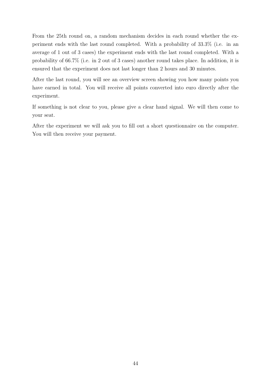From the 25th round on, a random mechanism decides in each round whether the experiment ends with the last round completed. With a probability of 33.3% (i.e. in an average of 1 out of 3 cases) the experiment ends with the last round completed. With a probability of 66.7% (i.e. in 2 out of 3 cases) another round takes place. In addition, it is ensured that the experiment does not last longer than 2 hours and 30 minutes.

After the last round, you will see an overview screen showing you how many points you have earned in total. You will receive all points converted into euro directly after the experiment.

If something is not clear to you, please give a clear hand signal. We will then come to your seat.

After the experiment we will ask you to fill out a short questionnaire on the computer. You will then receive your payment.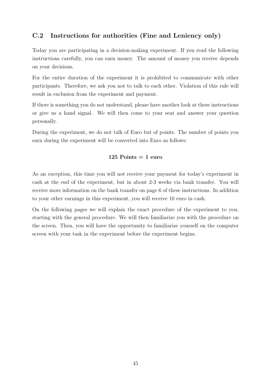### <span id="page-46-0"></span>C.2 Instructions for authorities (Fine and Leniency only)

Today you are participating in a decision-making experiment. If you read the following instructions carefully, you can earn money. The amount of money you receive depends on your decisions.

For the entire duration of the experiment it is prohibited to communicate with other participants. Therefore, we ask you not to talk to each other. Violation of this rule will result in exclusion from the experiment and payment.

If there is something you do not understand, please have another look at these instructions or give us a hand signal. We will then come to your seat and answer your question personally.

During the experiment, we do not talk of Euro but of points. The number of points you earn during the experiment will be converted into Euro as follows:

### $125$  Points  $= 1$  euro

As an exception, this time you will not receive your payment for today's experiment in cash at the end of the experiment, but in about 2-3 weeks via bank transfer. You will receive more information on the bank transfer on page 6 of these instructions. In addition to your other earnings in this experiment, you will receive 10 euro in cash.

On the following pages we will explain the exact procedure of the experiment to you, starting with the general procedure. We will then familiarize you with the procedure on the screen. Then, you will have the opportunity to familiarize yourself on the computer screen with your task in the experiment before the experiment begins.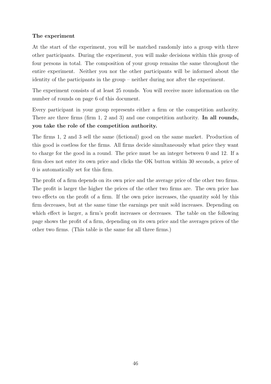### The experiment

At the start of the experiment, you will be matched randomly into a group with three other participants. During the experiment, you will make decisions within this group of four persons in total. The composition of your group remains the same throughout the entire experiment. Neither you nor the other participants will be informed about the identity of the participants in the group – neither during nor after the experiment.

The experiment consists of at least 25 rounds. You will receive more information on the number of rounds on page 6 of this document.

Every participant in your group represents either a firm or the competition authority. There are three firms (firm 1, 2 and 3) and one competition authority. In all rounds, you take the role of the competition authority.

The firms 1, 2 and 3 sell the same (fictional) good on the same market. Production of this good is costless for the firms. All firms decide simultaneously what price they want to charge for the good in a round. The price must be an integer between 0 and 12. If a firm does not enter its own price and clicks the OK button within 30 seconds, a price of 0 is automatically set for this firm.

The profit of a firm depends on its own price and the average price of the other two firms. The profit is larger the higher the prices of the other two firms are. The own price has two effects on the profit of a firm. If the own price increases, the quantity sold by this firm decreases, but at the same time the earnings per unit sold increases. Depending on which effect is larger, a firm's profit increases or decreases. The table on the following page shows the profit of a firm, depending on its own price and the averages prices of the other two firms. (This table is the same for all three firms.)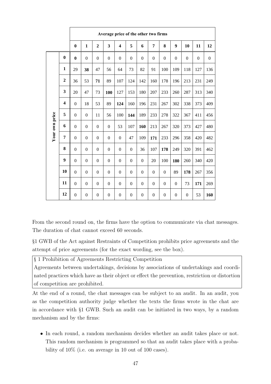|                |                         | Average price of the other two firms |                  |                  |                  |                         |                |                  |                  |                  |                  |                  |                  |                |
|----------------|-------------------------|--------------------------------------|------------------|------------------|------------------|-------------------------|----------------|------------------|------------------|------------------|------------------|------------------|------------------|----------------|
|                |                         | $\bf{0}$                             | $\mathbf{1}$     | $\overline{2}$   | 3                | $\overline{\mathbf{4}}$ | 5              | 6                | 7                | 8                | 9                | 10               | 11               | 12             |
|                | $\bf{0}$                | $\bf{0}$                             | $\overline{0}$   | $\boldsymbol{0}$ | $\overline{0}$   | $\boldsymbol{0}$        | $\overline{0}$ | $\overline{0}$   | $\boldsymbol{0}$ | $\overline{0}$   | $\boldsymbol{0}$ | $\boldsymbol{0}$ | $\boldsymbol{0}$ | $\overline{0}$ |
|                | 1                       | 29                                   | 38               | 47               | 56               | 64                      | 73             | 82               | 91               | 100              | 109              | 118              | 127              | 136            |
|                | $\boldsymbol{2}$        | 36                                   | 53               | 71               | 89               | 107                     | 124            | 142              | 160              | 178              | 196              | 213              | 231              | 249            |
|                | 3                       | 20                                   | 47               | 73               | 100              | 127                     | 153            | 180              | 207              | 233              | 260              | 287              | 313              | 340            |
|                | $\overline{\mathbf{4}}$ | $\boldsymbol{0}$                     | 18               | 53               | 89               | 124                     | 160            | 196              | 231              | 267              | 302              | 338              | 373              | 409            |
|                | 5                       | $\overline{0}$                       | $\overline{0}$   | 11               | 56               | 100                     | 144            | 189              | 233              | 278              | 322              | 367              | 411              | 456            |
| Your own price | 6                       | $\boldsymbol{0}$                     | $\boldsymbol{0}$ | $\overline{0}$   | $\boldsymbol{0}$ | 53                      | 107            | 160              | 213              | 267              | 320              | 373              | 427              | 480            |
|                | $\overline{7}$          | $\boldsymbol{0}$                     | $\theta$         | $\overline{0}$   | $\overline{0}$   | $\overline{0}$          | 47             | 109              | 171              | 233              | 296              | 358              | 420              | 482            |
|                | 8                       | $\boldsymbol{0}$                     | $\boldsymbol{0}$ | $\boldsymbol{0}$ | $\boldsymbol{0}$ | $\boldsymbol{0}$        | $\mathbf{0}$   | 36               | 107              | 178              | 249              | 320              | 391              | 462            |
|                | 9                       | $\boldsymbol{0}$                     | $\boldsymbol{0}$ | $\overline{0}$   | $\boldsymbol{0}$ | $\boldsymbol{0}$        | $\mathbf{0}$   | $\boldsymbol{0}$ | 20               | 100              | 180              | 260              | 340              | 420            |
|                | 10                      | $\overline{0}$                       | $\boldsymbol{0}$ | $\boldsymbol{0}$ | $\overline{0}$   | $\boldsymbol{0}$        | $\overline{0}$ | $\boldsymbol{0}$ | $\boldsymbol{0}$ | $\boldsymbol{0}$ | 89               | 178              | 267              | 356            |
|                | 11                      | $\overline{0}$                       | $\boldsymbol{0}$ | $\boldsymbol{0}$ | $\boldsymbol{0}$ | $\boldsymbol{0}$        | $\overline{0}$ | $\boldsymbol{0}$ | $\boldsymbol{0}$ | $\boldsymbol{0}$ | $\boldsymbol{0}$ | 73               | 171              | 269            |
|                | 12                      | $\overline{0}$                       | $\boldsymbol{0}$ | $\boldsymbol{0}$ | $\boldsymbol{0}$ | $\boldsymbol{0}$        | $\overline{0}$ | $\boldsymbol{0}$ | $\boldsymbol{0}$ | $\boldsymbol{0}$ | $\boldsymbol{0}$ | $\boldsymbol{0}$ | 53               | 160            |

From the second round on, the firms have the option to communicate via chat messages. The duration of chat cannot exceed 60 seconds.

§1 GWB of the Act against Restraints of Competition prohibits price agreements and the attempt of price agreements (for the exact wording, see the box).

§ 1 Prohibition of Agreements Restricting Competition

Agreements between undertakings, decisions by associations of undertakings and coordinated practices which have as their object or effect the prevention, restriction or distortion of competition are prohibited.

At the end of a round, the chat messages can be subject to an audit. In an audit, you as the competition authority judge whether the texts the firms wrote in the chat are in accordance with §1 GWB. Such an audit can be initiated in two ways, by a random mechanism and by the firms:

• In each round, a random mechanism decides whether an audit takes place or not. This random mechanism is programmed so that an audit takes place with a probability of  $10\%$  (i.e. on average in 10 out of 100 cases).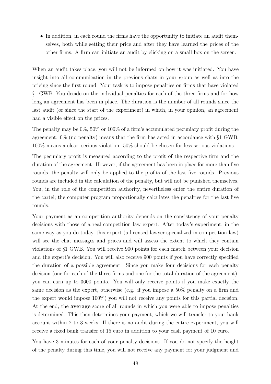• In addition, in each round the firms have the opportunity to initiate an audit themselves, both while setting their price and after they have learned the prices of the other firms. A firm can initiate an audit by clicking on a small box on the screen.

When an audit takes place, you will not be informed on how it was initiated. You have insight into all communication in the previous chats in your group as well as into the pricing since the first round. Your task is to impose penalties on firms that have violated §1 GWB. You decide on the individual penalties for each of the three firms and for how long an agreement has been in place. The duration is the number of all rounds since the last audit (or since the start of the experiment) in which, in your opinion, an agreement had a visible effect on the prices.

The penalty may be 0%, 50% or 100% of a firm's accumulated pecuniary profit during the agreement. 0% (no penalty) means that the firm has acted in accordance with §1 GWB, 100% means a clear, serious violation. 50% should be chosen for less serious violations.

The pecuniary profit is measured according to the profit of the respective firm and the duration of the agreement. However, if the agreement has been in place for more than five rounds, the penalty will only be applied to the profits of the last five rounds. Previous rounds are included in the calculation of the penalty, but will not be punished themselves. You, in the role of the competition authority, nevertheless enter the entire duration of the cartel; the computer program proportionally calculates the penalties for the last five rounds.

Your payment as an competition authority depends on the consistency of your penalty decisions with those of a real competition law expert. After today's experiment, in the same way as you do today, this expert (a licensed lawyer specialized in competition law) will see the chat messages and prices and will assess the extent to which they contain violations of §1 GWB. You will receive 900 points for each match between your decision and the expert's decision. You will also receive 900 points if you have correctly specified the duration of a possible agreement. Since you make four decisions for each penalty decision (one for each of the three firms and one for the total duration of the agreement), you can earn up to 3600 points. You will only receive points if you make exactly the same decision as the expert, otherwise (e.g. if you impose a 50% penalty on a firm and the expert would impose 100%) you will not receive any points for this partial decision. At the end, the average score of all rounds in which you were able to impose penalties is determined. This then determines your payment, which we will transfer to your bank account within 2 to 3 weeks. If there is no audit during the entire experiment, you will receive a fixed bank transfer of 15 euro in addition to your cash payment of 10 euro.

You have 3 minutes for each of your penalty decisions. If you do not specify the height of the penalty during this time, you will not receive any payment for your judgment and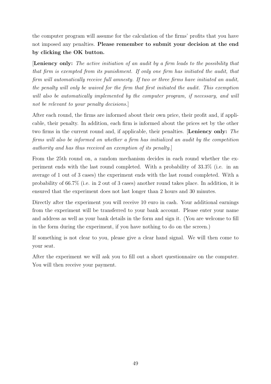the computer program will assume for the calculation of the firms' profits that you have not imposed any penalties. Please remember to submit your decision at the end by clicking the OK button.

[Leniency only: The active initiation of an audit by a firm leads to the possibility that that firm is exempted from its punishment. If only one firm has initiated the audit, that firm will automatically receive full amnesty. If two or three firms have initiated an audit, the penalty will only be waived for the firm that first initiated the audit. This exemption will also be automatically implemented by the computer program, if necessary, and will not be relevant to your penalty decisions.

After each round, the firms are informed about their own price, their profit and, if applicable, their penalty. In addition, each firm is informed about the prices set by the other two firms in the current round and, if applicable, their penalties. [Leniency only: The firms will also be informed on whether a firm has initialized an audit by the competition authority and has thus received an exemption of its penalty.]

From the 25th round on, a random mechanism decides in each round whether the experiment ends with the last round completed. With a probability of 33.3% (i.e. in an average of 1 out of 3 cases) the experiment ends with the last round completed. With a probability of 66.7% (i.e. in 2 out of 3 cases) another round takes place. In addition, it is ensured that the experiment does not last longer than 2 hours and 30 minutes.

Directly after the experiment you will receive 10 euro in cash. Your additional earnings from the experiment will be transferred to your bank account. Please enter your name and address as well as your bank details in the form and sign it. (You are welcome to fill in the form during the experiment, if you have nothing to do on the screen.)

If something is not clear to you, please give a clear hand signal. We will then come to your seat.

After the experiment we will ask you to fill out a short questionnaire on the computer. You will then receive your payment.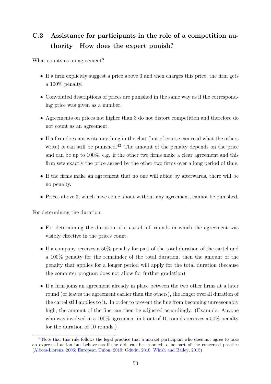# C.3 Assistance for participants in the role of a competition authority | How does the expert punish?

What counts as an agreement?

- If a firm explicitly suggest a price above 3 and then charges this price, the firm gets a 100% penalty.
- Convoluted descriptions of prices are punished in the same way as if the corresponding price was given as a number.
- Agreements on prices not higher than 3 do not distort competition and therefore do not count as an agreement.
- If a firm does not write anything in the chat (but of course can read what the others write) it can still be punished.<sup>[43](#page-2-0)</sup> The amount of the penalty depends on the price and can be up to 100%, e.g. if the other two firms make a clear agreement and this firm sets exactly the price agreed by the other two firms over a long period of time.
- If the firms make an agreement that no one will abide by afterwards, there will be no penalty.
- Prices above 3, which have come about without any agreement, cannot be punished.

For determining the duration:

- For determining the duration of a cartel, all rounds in which the agreement was visibly effective in the prices count.
- If a company receives a 50% penalty for part of the total duration of the cartel and a 100% penalty for the remainder of the total duration, then the amount of the penalty that applies for a longer period will apply for the total duration (because the computer program does not allow for further gradation).
- If a firm joins an agreement already in place between the two other firms at a later round (or leaves the agreement earlier than the others), the longer overall duration of the cartel still applies to it. In order to prevent the fine from becoming unreasonably high, the amount of the fine can then be adjusted accordingly. (Example: Anyone who was involved in a 100% agreement in 5 out of 10 rounds receives a 50% penalty for the duration of 10 rounds.)

<sup>&</sup>lt;sup>43</sup>Note that this rule follows the legal practice that a market participant who does not agree to take an expressed action but behaves as if she did, can be assumed to be part of the concerted practice [\(Albors-Llorens,](#page-27-3) [2006;](#page-27-3) [European Union,](#page-29-12) [2019;](#page-29-12) [Odudu,](#page-31-12) [2010;](#page-31-12) [Whish and Bailey,](#page-31-13) [2015\)](#page-31-13)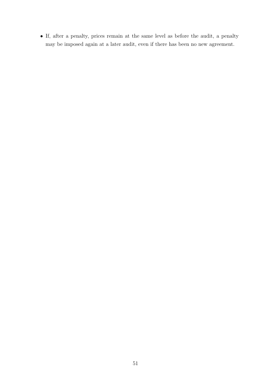• If, after a penalty, prices remain at the same level as before the audit, a penalty may be imposed again at a later audit, even if there has been no new agreement.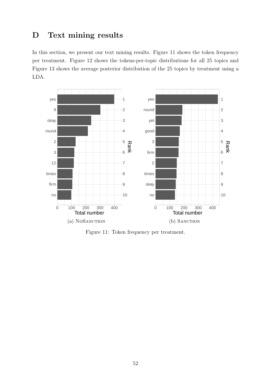## <span id="page-53-0"></span>D Text mining results

In this section, we present our text mining results. Figure [11](#page-53-1) shows the token frequency per treatment. Figure [12](#page-54-0) shows the tokens-per-topic distributions for all 25 topics and Figure [13](#page-55-0) shows the average posterior distribution of the 25 topics by treatment using a LDA.

<span id="page-53-1"></span>

Figure 11: Token frequency per treatment.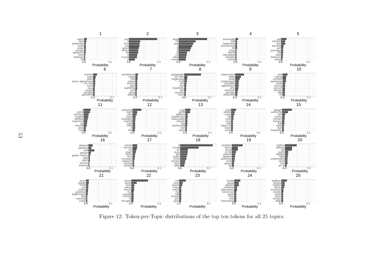<span id="page-54-0"></span>

Figure 12: Token-per-Topic distributions of the top ten tokens for all 25 topics.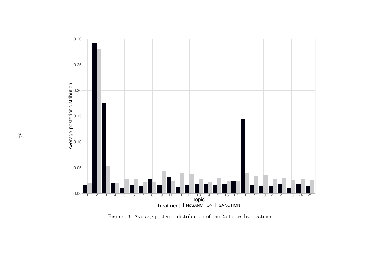<span id="page-55-0"></span>

Figure 13: Average posterior distribution of the 25 topics by treatment.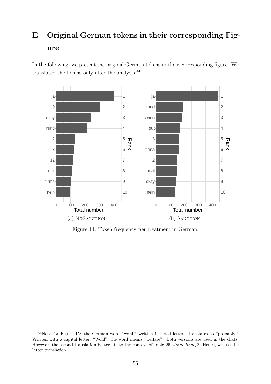# <span id="page-56-0"></span>E Original German tokens in their corresponding Figure

In the following, we present the original German tokens in their corresponding figure. We translated the tokens only after the analysis.[44](#page-2-0)



Figure 14: Token frequency per treatment in German.

<sup>44</sup>Note for Figure [15:](#page-57-0) the German word "wohl," written in small letters, translates to "probably." Written with a capital letter, "Wohl", the word means "welfare". Both versions are used in the chats. However, the second translation better fits to the context of topic 25, Joint Benefit. Hence, we use the latter translation.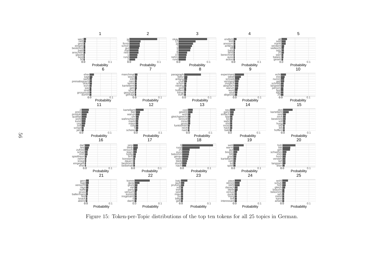<span id="page-57-0"></span>

Figure 15: Token-per-Topic distributions of the top ten tokens for all 25 topics in German.